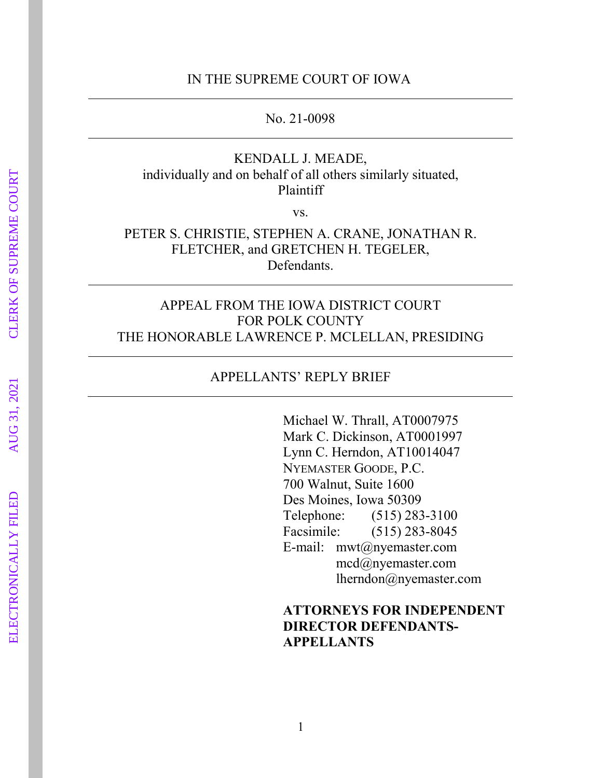#### IN THE SUPREME COURT OF IOWA

No. 21-0098

## KENDALL J. MEADE, individually and on behalf of all others similarly situated, Plaintiff

vs.

## PETER S. CHRISTIE, STEPHEN A. CRANE, JONATHAN R. FLETCHER, and GRETCHEN H. TEGELER, Defendants.

## APPEAL FROM THE IOWA DISTRICT COURT FOR POLK COUNTY THE HONORABLE LAWRENCE P. MCLELLAN, PRESIDING

#### APPELLANTS' REPLY BRIEF

Michael W. Thrall, AT0007975 Mark C. Dickinson, AT0001997 Lynn C. Herndon, AT10014047 NYEMASTER GOODE, P.C. 700 Walnut, Suite 1600 Des Moines, Iowa 50309 Telephone: (515) 283-3100 Facsimile: (515) 283-8045 E-mail: mwt@nyemaster.com mcd@nyemaster.com lherndon@nyemaster.com

## **ATTORNEYS FOR INDEPENDENT DIRECTOR DEFENDANTS-APPELLANTS**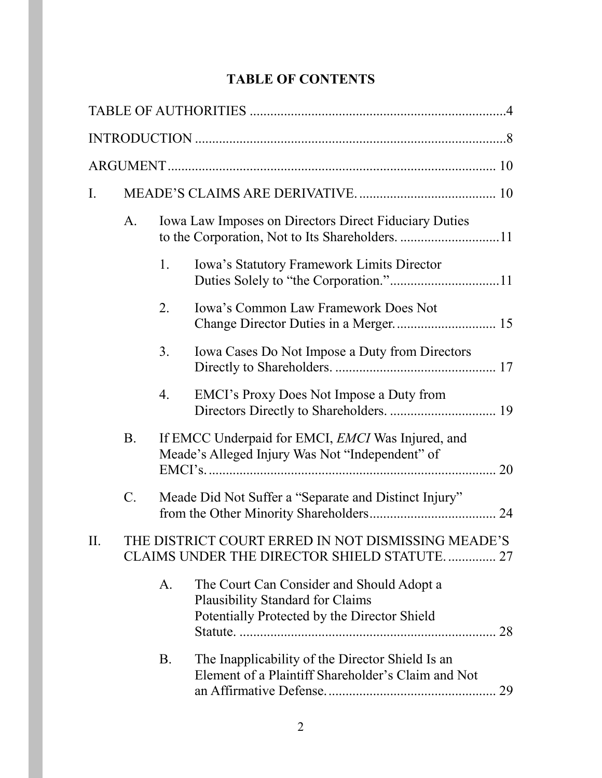# **TABLE OF CONTENTS**

| Ι. |                                                                                                   |    |                                                                                                                               |    |  |
|----|---------------------------------------------------------------------------------------------------|----|-------------------------------------------------------------------------------------------------------------------------------|----|--|
|    | A.                                                                                                |    | <b>Iowa Law Imposes on Directors Direct Fiduciary Duties</b>                                                                  |    |  |
|    |                                                                                                   | 1. | Iowa's Statutory Framework Limits Director                                                                                    |    |  |
|    |                                                                                                   | 2. | <b>Iowa's Common Law Framework Does Not</b>                                                                                   |    |  |
|    |                                                                                                   | 3. | Iowa Cases Do Not Impose a Duty from Directors                                                                                |    |  |
|    |                                                                                                   | 4. | EMCI's Proxy Does Not Impose a Duty from                                                                                      |    |  |
|    | <b>B.</b>                                                                                         |    | If EMCC Underpaid for EMCI, EMCI Was Injured, and<br>Meade's Alleged Injury Was Not "Independent" of                          |    |  |
|    | $\mathcal{C}$ .                                                                                   |    | Meade Did Not Suffer a "Separate and Distinct Injury"                                                                         |    |  |
| П. | THE DISTRICT COURT ERRED IN NOT DISMISSING MEADE'S<br>CLAIMS UNDER THE DIRECTOR SHIELD STATUTE 27 |    |                                                                                                                               |    |  |
|    |                                                                                                   | A. | The Court Can Consider and Should Adopt a<br>Plausibility Standard for Claims<br>Potentially Protected by the Director Shield |    |  |
|    |                                                                                                   | B. | The Inapplicability of the Director Shield Is an<br>Element of a Plaintiff Shareholder's Claim and Not                        | 29 |  |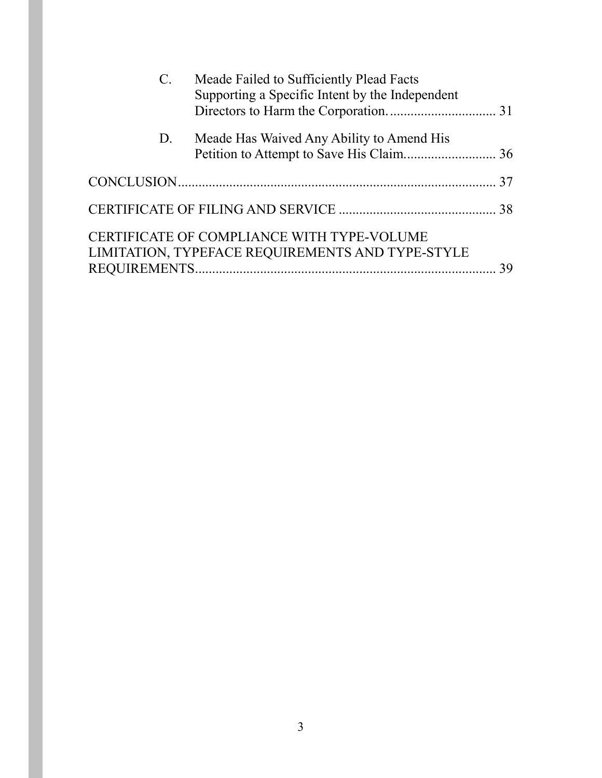| $C_{\cdot}$ | Meade Failed to Sufficiently Plead Facts<br>Supporting a Specific Intent by the Independent    |  |
|-------------|------------------------------------------------------------------------------------------------|--|
| D.          | Meade Has Waived Any Ability to Amend His                                                      |  |
|             |                                                                                                |  |
|             |                                                                                                |  |
|             | CERTIFICATE OF COMPLIANCE WITH TYPE-VOLUME<br>LIMITATION, TYPEFACE REQUIREMENTS AND TYPE-STYLE |  |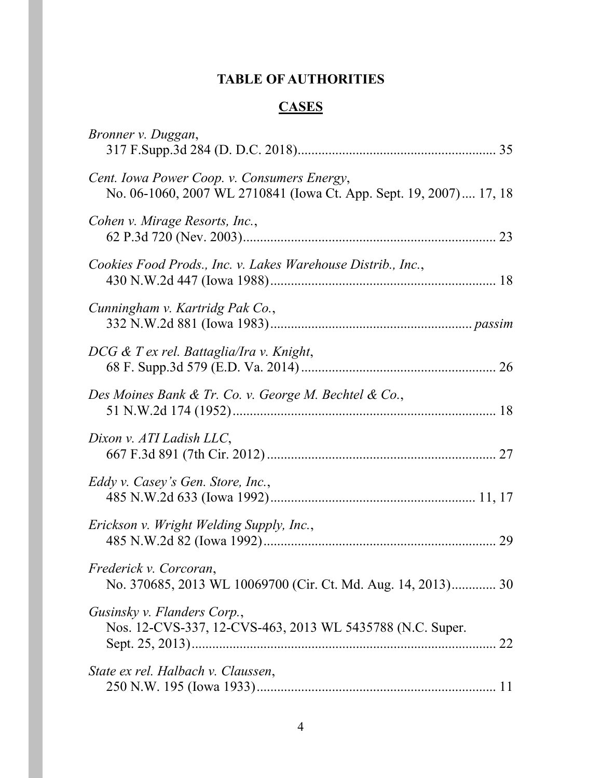# **TABLE OF AUTHORITIES**

# **CASES**

<span id="page-3-0"></span>

| Bronner v. Duggan,                                                                                                |
|-------------------------------------------------------------------------------------------------------------------|
| Cent. Iowa Power Coop. v. Consumers Energy,<br>No. 06-1060, 2007 WL 2710841 (Iowa Ct. App. Sept. 19, 2007) 17, 18 |
| Cohen v. Mirage Resorts, Inc.,                                                                                    |
| Cookies Food Prods., Inc. v. Lakes Warehouse Distrib., Inc.,                                                      |
| Cunningham v. Kartridg Pak Co.,                                                                                   |
| DCG & T ex rel. Battaglia/Ira v. Knight,                                                                          |
| Des Moines Bank & Tr. Co. v. George M. Bechtel & Co.,                                                             |
| Dixon v. ATI Ladish LLC,                                                                                          |
| Eddy v. Casey's Gen. Store, Inc.,                                                                                 |
| Erickson v. Wright Welding Supply, Inc.,                                                                          |
| Frederick v. Corcoran,<br>No. 370685, 2013 WL 10069700 (Cir. Ct. Md. Aug. 14, 2013) 30                            |
| Gusinsky v. Flanders Corp.,<br>Nos. 12-CVS-337, 12-CVS-463, 2013 WL 5435788 (N.C. Super.                          |
| State ex rel. Halbach v. Claussen,                                                                                |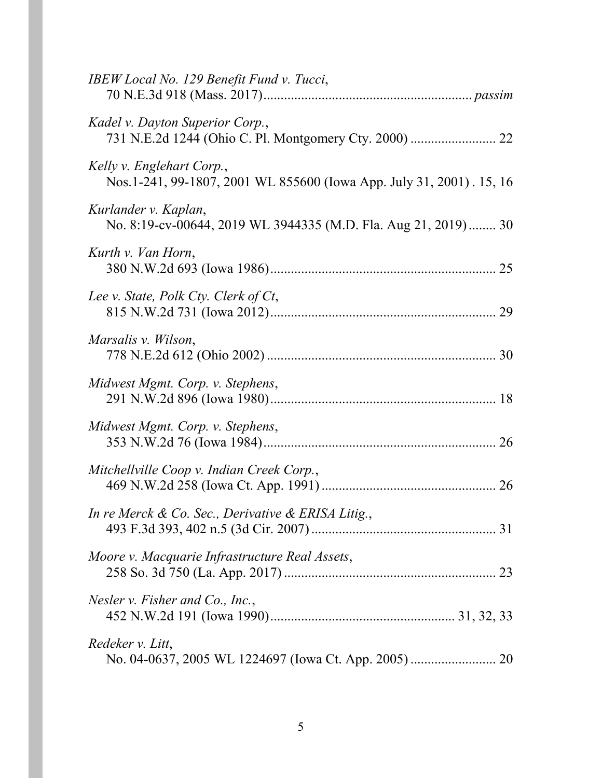| IBEW Local No. 129 Benefit Fund v. Tucci,                                                         |
|---------------------------------------------------------------------------------------------------|
| Kadel v. Dayton Superior Corp.,                                                                   |
| Kelly v. Englehart Corp.,<br>Nos.1-241, 99-1807, 2001 WL 855600 (Iowa App. July 31, 2001). 15, 16 |
| Kurlander v. Kaplan,<br>No. 8:19-cv-00644, 2019 WL 3944335 (M.D. Fla. Aug 21, 2019)  30           |
| Kurth v. Van Horn,                                                                                |
| Lee v. State, Polk Cty. Clerk of Ct,                                                              |
| Marsalis v. Wilson,                                                                               |
| Midwest Mgmt. Corp. v. Stephens,                                                                  |
| Midwest Mgmt. Corp. v. Stephens,                                                                  |
| Mitchellville Coop v. Indian Creek Corp.,                                                         |
| In re Merck & Co. Sec., Derivative & ERISA Litig.,                                                |
| Moore v. Macquarie Infrastructure Real Assets,                                                    |
| Nesler $v$ . Fisher and Co., Inc.,                                                                |
| Redeker v. Litt,                                                                                  |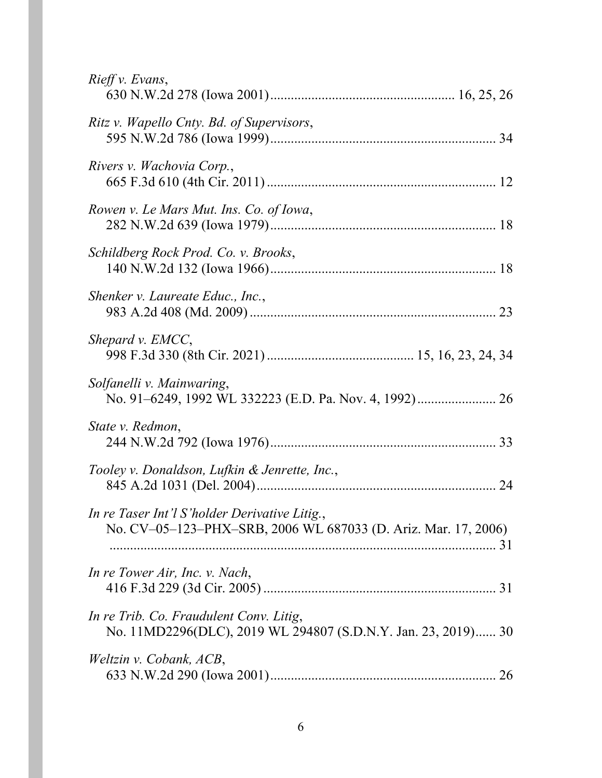| Rieff v. Evans,                                                                                                 |
|-----------------------------------------------------------------------------------------------------------------|
| Ritz v. Wapello Cnty. Bd. of Supervisors,                                                                       |
| Rivers v. Wachovia Corp.,                                                                                       |
| Rowen v. Le Mars Mut. Ins. Co. of Iowa,                                                                         |
| Schildberg Rock Prod. Co. v. Brooks,                                                                            |
| Shenker v. Laureate Educ., Inc.,                                                                                |
| Shepard v. EMCC,                                                                                                |
| Solfanelli v. Mainwaring,                                                                                       |
| State v. Redmon,                                                                                                |
| Tooley v. Donaldson, Lufkin & Jenrette, Inc.,                                                                   |
| In re Taser Int'l S'holder Derivative Litig.,<br>No. CV-05-123-PHX-SRB, 2006 WL 687033 (D. Ariz. Mar. 17, 2006) |
| In re Tower Air, Inc. v. Nach,                                                                                  |
| In re Trib. Co. Fraudulent Conv. Litig,<br>No. 11MD2296(DLC), 2019 WL 294807 (S.D.N.Y. Jan. 23, 2019) 30        |
| Weltzin v. Cobank, ACB,                                                                                         |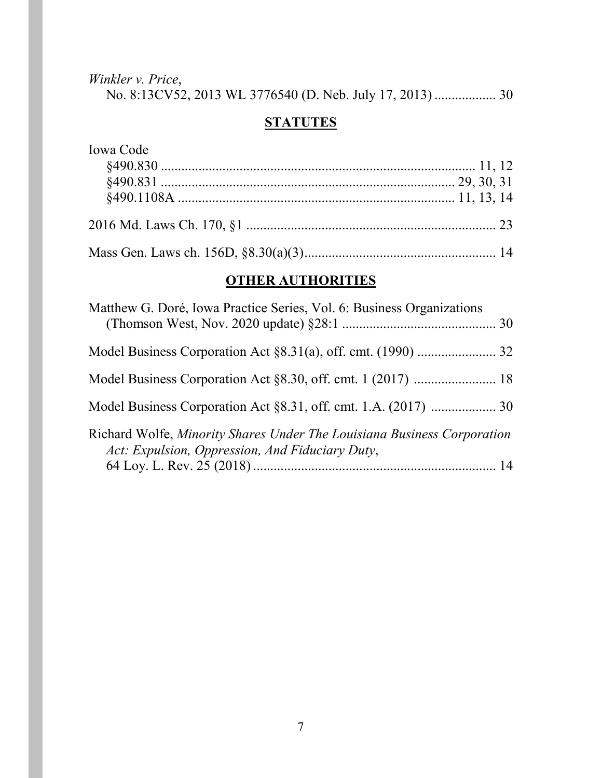*Winkler v. Price*, No. 8:13CV52, 2013 WL 3776540 (D. Neb. July 17, 2013) .................. 30

# **STATUTES**

| Iowa Code |  |
|-----------|--|
|           |  |
|           |  |
|           |  |
|           |  |
|           |  |

# **OTHER AUTHORITIES**

| Matthew G. Doré, Iowa Practice Series, Vol. 6: Business Organizations                                                      |  |
|----------------------------------------------------------------------------------------------------------------------------|--|
|                                                                                                                            |  |
|                                                                                                                            |  |
|                                                                                                                            |  |
| Richard Wolfe, Minority Shares Under The Louisiana Business Corporation<br>Act: Expulsion, Oppression, And Fiduciary Duty, |  |
|                                                                                                                            |  |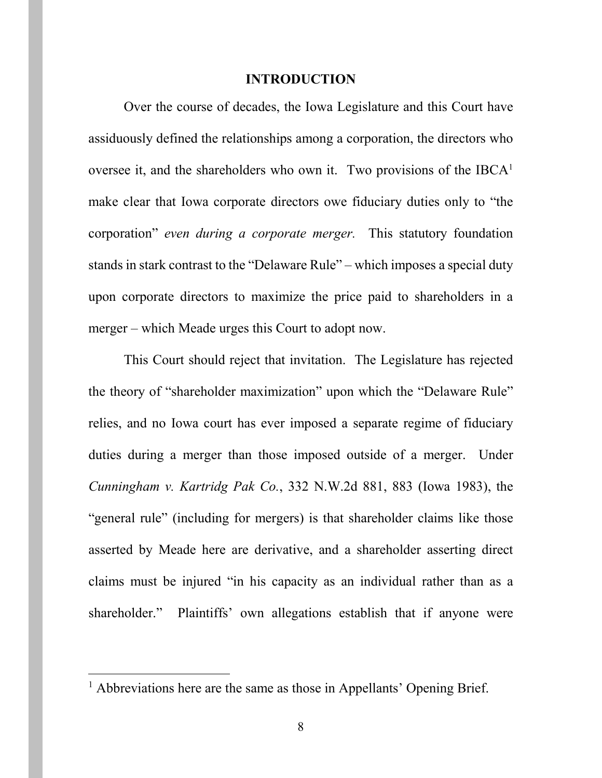#### **INTRODUCTION**

<span id="page-7-0"></span>Over the course of decades, the Iowa Legislature and this Court have assiduously defined the relationships among a corporation, the directors who oversee it, and the shareholders who own it. Two provisions of the  $IBCA<sup>1</sup>$  $IBCA<sup>1</sup>$  $IBCA<sup>1</sup>$ make clear that Iowa corporate directors owe fiduciary duties only to "the corporation" *even during a corporate merger.* This statutory foundation stands in stark contrast to the "Delaware Rule" – which imposes a special duty upon corporate directors to maximize the price paid to shareholders in a merger – which Meade urges this Court to adopt now.

<span id="page-7-1"></span>This Court should reject that invitation. The Legislature has rejected the theory of "shareholder maximization" upon which the "Delaware Rule" relies, and no Iowa court has ever imposed a separate regime of fiduciary duties during a merger than those imposed outside of a merger. Under *Cunningham v. Kartridg Pak Co.*, 332 N.W.2d 881, 883 (Iowa 1983), the "general rule" (including for mergers) is that shareholder claims like those asserted by Meade here are derivative, and a shareholder asserting direct claims must be injured "in his capacity as an individual rather than as a shareholder." Plaintiffs' own allegations establish that if anyone were

<span id="page-7-2"></span> $<sup>1</sup>$  Abbreviations here are the same as those in Appellants' Opening Brief.</sup>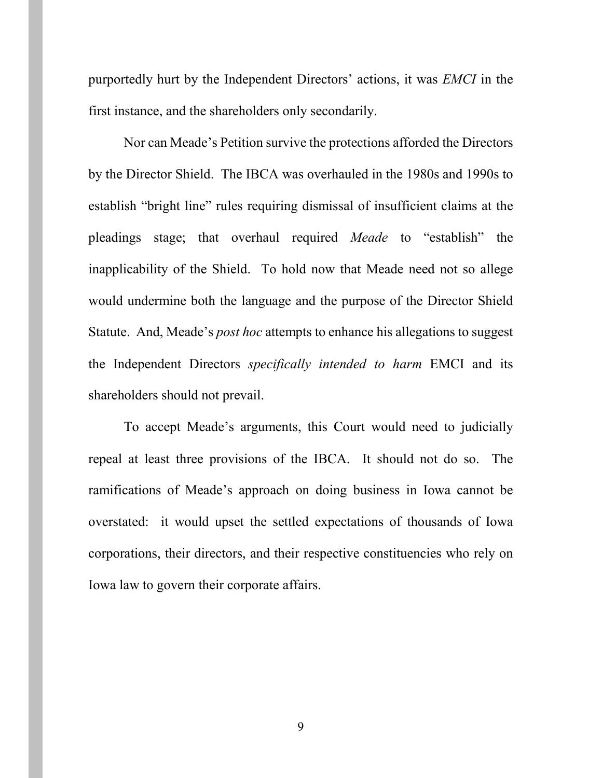purportedly hurt by the Independent Directors' actions, it was *EMCI* in the first instance, and the shareholders only secondarily.

Nor can Meade's Petition survive the protections afforded the Directors by the Director Shield. The IBCA was overhauled in the 1980s and 1990s to establish "bright line" rules requiring dismissal of insufficient claims at the pleadings stage; that overhaul required *Meade* to "establish" the inapplicability of the Shield. To hold now that Meade need not so allege would undermine both the language and the purpose of the Director Shield Statute. And, Meade's *post hoc* attempts to enhance his allegations to suggest the Independent Directors *specifically intended to harm* EMCI and its shareholders should not prevail.

To accept Meade's arguments, this Court would need to judicially repeal at least three provisions of the IBCA. It should not do so. The ramifications of Meade's approach on doing business in Iowa cannot be overstated: it would upset the settled expectations of thousands of Iowa corporations, their directors, and their respective constituencies who rely on Iowa law to govern their corporate affairs.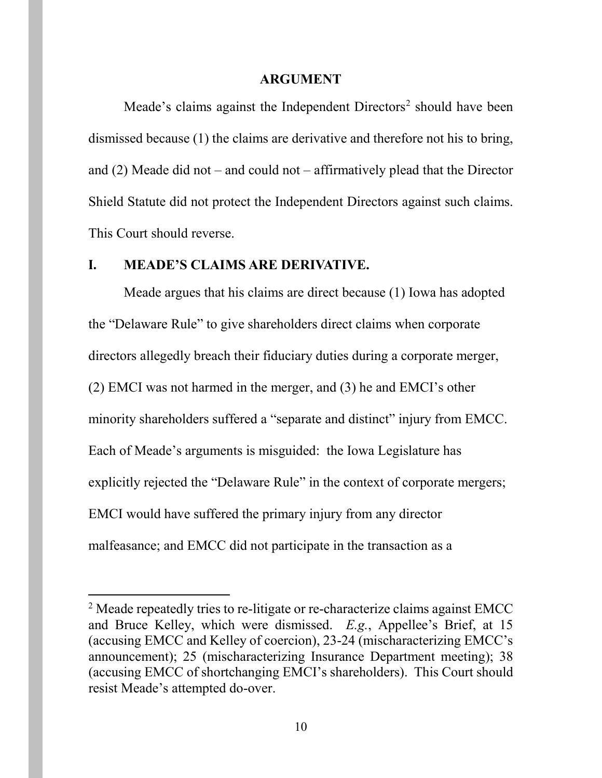#### **ARGUMENT**

<span id="page-9-0"></span>Meade's claims against the Independent  $Directors<sup>2</sup>$  $Directors<sup>2</sup>$  $Directors<sup>2</sup>$  should have been dismissed because (1) the claims are derivative and therefore not his to bring, and (2) Meade did not – and could not – affirmatively plead that the Director Shield Statute did not protect the Independent Directors against such claims. This Court should reverse.

#### <span id="page-9-1"></span>**I. MEADE'S CLAIMS ARE DERIVATIVE.**

Meade argues that his claims are direct because (1) Iowa has adopted the "Delaware Rule" to give shareholders direct claims when corporate directors allegedly breach their fiduciary duties during a corporate merger, (2) EMCI was not harmed in the merger, and (3) he and EMCI's other minority shareholders suffered a "separate and distinct" injury from EMCC. Each of Meade's arguments is misguided: the Iowa Legislature has explicitly rejected the "Delaware Rule" in the context of corporate mergers; EMCI would have suffered the primary injury from any director malfeasance; and EMCC did not participate in the transaction as a

<span id="page-9-2"></span><sup>&</sup>lt;sup>2</sup> Meade repeatedly tries to re-litigate or re-characterize claims against EMCC and Bruce Kelley, which were dismissed. *E.g.*, Appellee's Brief, at 15 (accusing EMCC and Kelley of coercion), 23-24 (mischaracterizing EMCC's announcement); 25 (mischaracterizing Insurance Department meeting); 38 (accusing EMCC of shortchanging EMCI's shareholders). This Court should resist Meade's attempted do-over.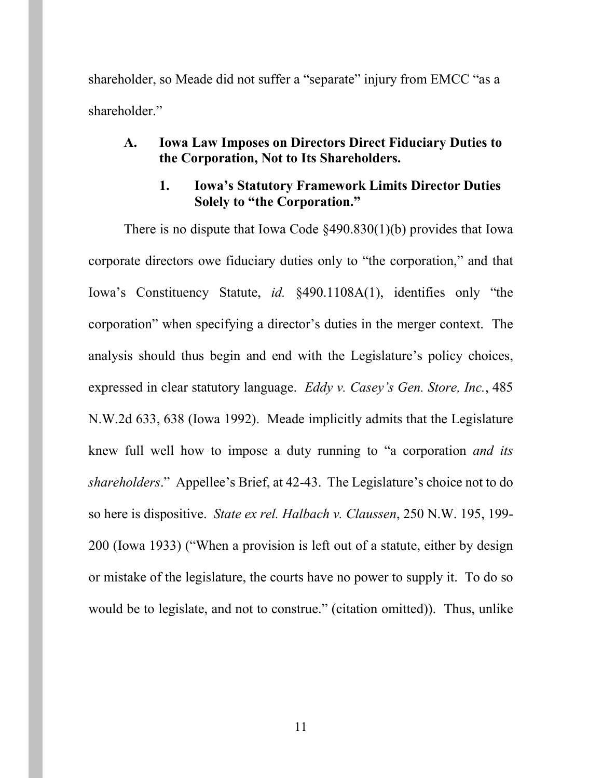shareholder, so Meade did not suffer a "separate" injury from EMCC "as a shareholder."

## <span id="page-10-0"></span>**A. Iowa Law Imposes on Directors Direct Fiduciary Duties to the Corporation, Not to Its Shareholders.**

# <span id="page-10-4"></span><span id="page-10-2"></span>**1. Iowa's Statutory Framework Limits Director Duties Solely to "the Corporation."**

<span id="page-10-3"></span><span id="page-10-1"></span>There is no dispute that Iowa Code §490.830(1)(b) provides that Iowa corporate directors owe fiduciary duties only to "the corporation," and that Iowa's Constituency Statute, *id.* §490.1108A(1), identifies only "the corporation" when specifying a director's duties in the merger context. The analysis should thus begin and end with the Legislature's policy choices, expressed in clear statutory language. *Eddy v. Casey's Gen. Store, Inc.*, 485 N.W.2d 633, 638 (Iowa 1992). Meade implicitly admits that the Legislature knew full well how to impose a duty running to "a corporation *and its shareholders*." Appellee's Brief, at 42-43. The Legislature's choice not to do so here is dispositive. *State ex rel. Halbach v. Claussen*, 250 N.W. 195, 199- 200 (Iowa 1933) ("When a provision is left out of a statute, either by design or mistake of the legislature, the courts have no power to supply it. To do so would be to legislate, and not to construe." (citation omitted)). Thus, unlike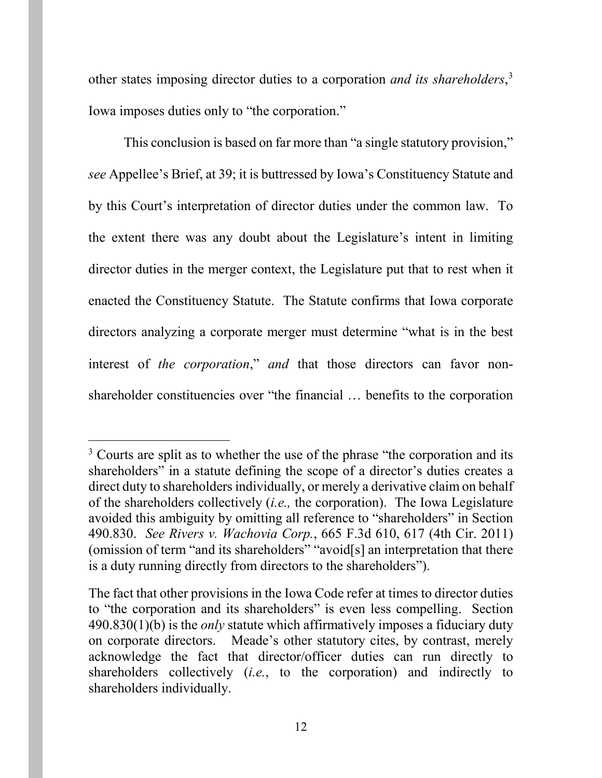other states imposing director duties to a corporation *and its shareholders*, [3](#page-11-2) Iowa imposes duties only to "the corporation."

This conclusion is based on far more than "a single statutory provision," *see* Appellee's Brief, at 39; it is buttressed by Iowa's Constituency Statute and by this Court's interpretation of director duties under the common law. To the extent there was any doubt about the Legislature's intent in limiting director duties in the merger context, the Legislature put that to rest when it enacted the Constituency Statute. The Statute confirms that Iowa corporate directors analyzing a corporate merger must determine "what is in the best interest of *the corporation*," *and* that those directors can favor nonshareholder constituencies over "the financial … benefits to the corporation

<span id="page-11-2"></span><sup>&</sup>lt;sup>3</sup> Courts are split as to whether the use of the phrase "the corporation and its shareholders" in a statute defining the scope of a director's duties creates a direct duty to shareholders individually, or merely a derivative claim on behalf of the shareholders collectively (*i.e.,* the corporation). The Iowa Legislature avoided this ambiguity by omitting all reference to "shareholders" in Section 490.830. *See Rivers v. Wachovia Corp.*, 665 F.3d 610, 617 (4th Cir. 2011) (omission of term "and its shareholders" "avoid[s] an interpretation that there is a duty running directly from directors to the shareholders").

<span id="page-11-1"></span><span id="page-11-0"></span>The fact that other provisions in the Iowa Code refer at times to director duties to "the corporation and its shareholders" is even less compelling. Section 490.830(1)(b) is the *only* statute which affirmatively imposes a fiduciary duty on corporate directors. Meade's other statutory cites, by contrast, merely acknowledge the fact that director/officer duties can run directly to shareholders collectively (*i.e.*, to the corporation) and indirectly to shareholders individually.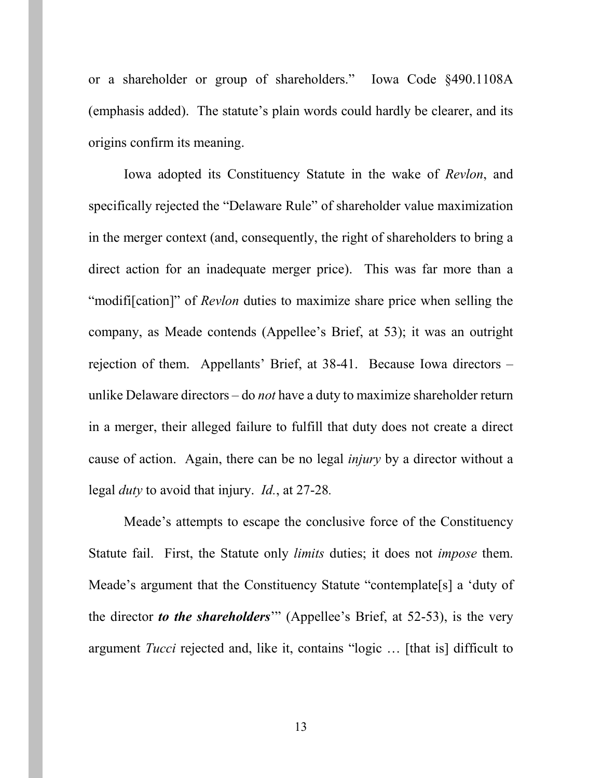<span id="page-12-1"></span>or a shareholder or group of shareholders." Iowa Code §490.1108A (emphasis added). The statute's plain words could hardly be clearer, and its origins confirm its meaning.

Iowa adopted its Constituency Statute in the wake of *Revlon*, and specifically rejected the "Delaware Rule" of shareholder value maximization in the merger context (and, consequently, the right of shareholders to bring a direct action for an inadequate merger price). This was far more than a "modifi[cation]" of *Revlon* duties to maximize share price when selling the company, as Meade contends (Appellee's Brief, at 53); it was an outright rejection of them. Appellants' Brief, at 38-41. Because Iowa directors – unlike Delaware directors – do *not* have a duty to maximize shareholder return in a merger, their alleged failure to fulfill that duty does not create a direct cause of action. Again, there can be no legal *injury* by a director without a legal *duty* to avoid that injury. *Id.*, at 27-28*.*

<span id="page-12-0"></span>Meade's attempts to escape the conclusive force of the Constituency Statute fail. First, the Statute only *limits* duties; it does not *impose* them. Meade's argument that the Constituency Statute "contemplate[s] a 'duty of the director *to the shareholders*'" (Appellee's Brief, at 52-53), is the very argument *Tucci* rejected and, like it, contains "logic … [that is] difficult to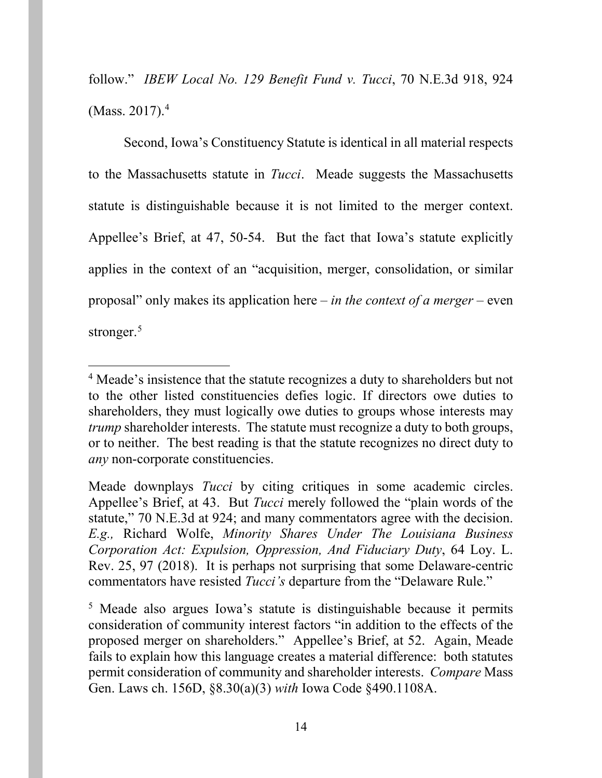follow." *IBEW Local No. 129 Benefit Fund v. Tucci*, 70 N.E.3d 918, 924 (Mass. 2017). $4$ 

Second, Iowa's Constituency Statute is identical in all material respects to the Massachusetts statute in *Tucci*. Meade suggests the Massachusetts statute is distinguishable because it is not limited to the merger context. Appellee's Brief, at 47, 50-54. But the fact that Iowa's statute explicitly applies in the context of an "acquisition, merger, consolidation, or similar proposal" only makes its application here – *in the context of a merger* – even stronger. [5](#page-13-3)

<span id="page-13-2"></span> <sup>4</sup> Meade's insistence that the statute recognizes a duty to shareholders but not to the other listed constituencies defies logic. If directors owe duties to shareholders, they must logically owe duties to groups whose interests may *trump* shareholder interests.The statute must recognize a duty to both groups, or to neither. The best reading is that the statute recognizes no direct duty to *any* non-corporate constituencies.

Meade downplays *Tucci* by citing critiques in some academic circles. Appellee's Brief, at 43. But *Tucci* merely followed the "plain words of the statute," 70 N.E.3d at 924; and many commentators agree with the decision. *E.g.,* Richard Wolfe, *Minority Shares Under The Louisiana Business Corporation Act: Expulsion, Oppression, And Fiduciary Duty*, 64 Loy. L. Rev. 25, 97 (2018). It is perhaps not surprising that some Delaware-centric commentators have resisted *Tucci's* departure from the "Delaware Rule."

<span id="page-13-3"></span><span id="page-13-1"></span><span id="page-13-0"></span><sup>5</sup> Meade also argues Iowa's statute is distinguishable because it permits consideration of community interest factors "in addition to the effects of the proposed merger on shareholders." Appellee's Brief, at 52. Again, Meade fails to explain how this language creates a material difference: both statutes permit consideration of community and shareholder interests. *Compare* Mass Gen. Laws ch. 156D, §8.30(a)(3) *with* Iowa Code §490.1108A.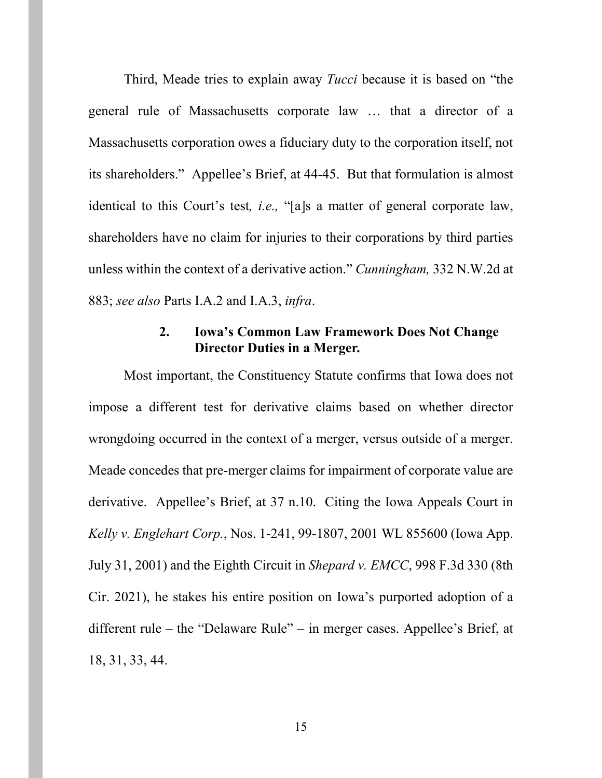Third, Meade tries to explain away *Tucci* because it is based on "the general rule of Massachusetts corporate law … that a director of a Massachusetts corporation owes a fiduciary duty to the corporation itself, not its shareholders." Appellee's Brief, at 44-45. But that formulation is almost identical to this Court's test*, i.e.,* "[a]s a matter of general corporate law, shareholders have no claim for injuries to their corporations by third parties unless within the context of a derivative action." *Cunningham,* 332 N.W.2d at 883; *see also* Parts I.A.2 and I.A.3, *infra*.

## <span id="page-14-2"></span>**2. Iowa's Common Law Framework Does Not Change Director Duties in a Merger.**

<span id="page-14-1"></span><span id="page-14-0"></span>Most important, the Constituency Statute confirms that Iowa does not impose a different test for derivative claims based on whether director wrongdoing occurred in the context of a merger, versus outside of a merger. Meade concedes that pre-merger claims for impairment of corporate value are derivative. Appellee's Brief, at 37 n.10. Citing the Iowa Appeals Court in *Kelly v. Englehart Corp.*, Nos. 1-241, 99-1807, 2001 WL 855600 (Iowa App. July 31, 2001) and the Eighth Circuit in *Shepard v. EMCC*, 998 F.3d 330 (8th Cir. 2021), he stakes his entire position on Iowa's purported adoption of a different rule – the "Delaware Rule" – in merger cases. Appellee's Brief, at 18, 31, 33, 44.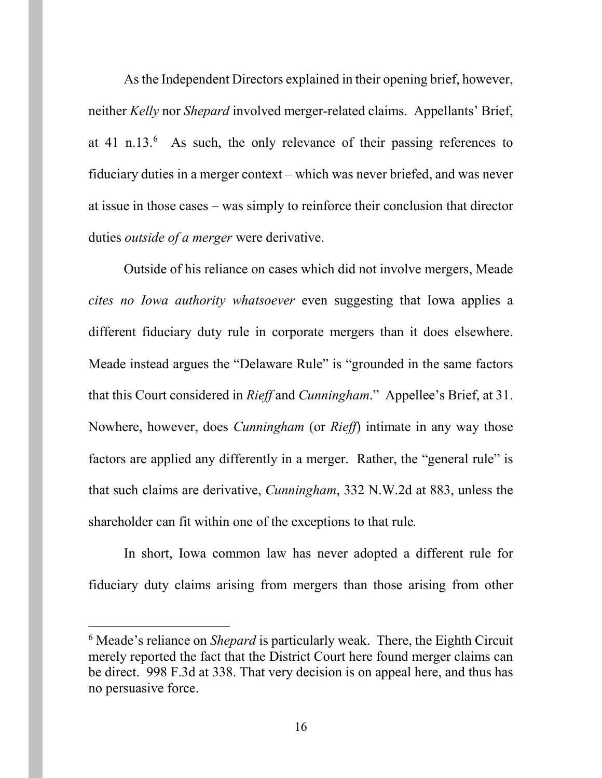<span id="page-15-0"></span>As the Independent Directors explained in their opening brief, however, neither *Kelly* nor *Shepard* involved merger-related claims. Appellants' Brief, at 41 n.13. $^6$  $^6$  As such, the only relevance of their passing references to fiduciary duties in a merger context – which was never briefed, and was never at issue in those cases – was simply to reinforce their conclusion that director duties *outside of a merger* were derivative.

<span id="page-15-1"></span>Outside of his reliance on cases which did not involve mergers, Meade *cites no Iowa authority whatsoever* even suggesting that Iowa applies a different fiduciary duty rule in corporate mergers than it does elsewhere. Meade instead argues the "Delaware Rule" is "grounded in the same factors that this Court considered in *Rieff* and *Cunningham*." Appellee's Brief, at 31. Nowhere, however, does *Cunningham* (or *Rieff*) intimate in any way those factors are applied any differently in a merger. Rather, the "general rule" is that such claims are derivative, *Cunningham*, 332 N.W.2d at 883, unless the shareholder can fit within one of the exceptions to that rule*.*

In short, Iowa common law has never adopted a different rule for fiduciary duty claims arising from mergers than those arising from other

<span id="page-15-2"></span> <sup>6</sup> Meade's reliance on *Shepard* is particularly weak. There, the Eighth Circuit merely reported the fact that the District Court here found merger claims can be direct. 998 F.3d at 338. That very decision is on appeal here, and thus has no persuasive force.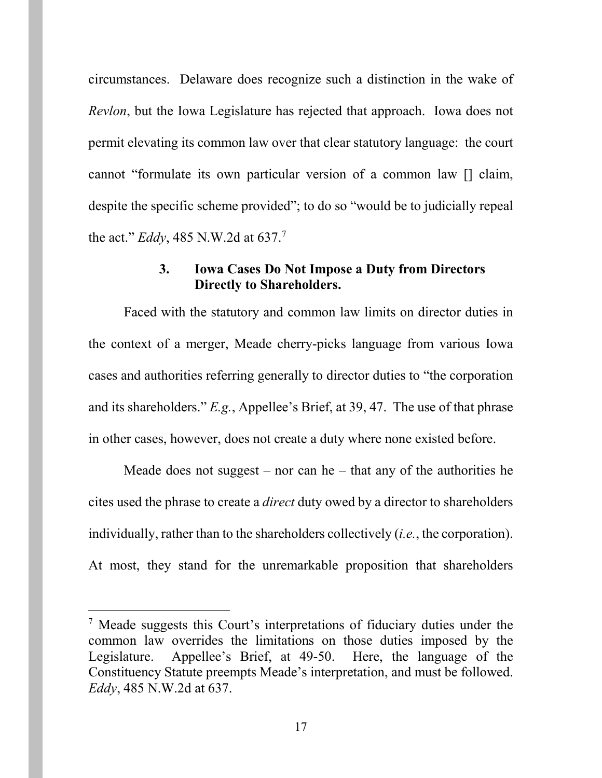circumstances. Delaware does recognize such a distinction in the wake of *Revlon*, but the Iowa Legislature has rejected that approach. Iowa does not permit elevating its common law over that clear statutory language: the court cannot "formulate its own particular version of a common law [] claim, despite the specific scheme provided"; to do so "would be to judicially repeal the act." *Eddy*, 485 N.W.2d at 637. [7](#page-16-2)

### <span id="page-16-1"></span>**3. Iowa Cases Do Not Impose a Duty from Directors Directly to Shareholders.**

<span id="page-16-0"></span>Faced with the statutory and common law limits on director duties in the context of a merger, Meade cherry-picks language from various Iowa cases and authorities referring generally to director duties to "the corporation and its shareholders." *E.g.*, Appellee's Brief, at 39, 47. The use of that phrase in other cases, however, does not create a duty where none existed before.

Meade does not suggest – nor can he – that any of the authorities he cites used the phrase to create a *direct* duty owed by a director to shareholders individually, rather than to the shareholders collectively (*i.e.*, the corporation). At most, they stand for the unremarkable proposition that shareholders

<span id="page-16-2"></span> <sup>7</sup> Meade suggests this Court's interpretations of fiduciary duties under the common law overrides the limitations on those duties imposed by the Legislature. Appellee's Brief, at 49-50. Here, the language of the Constituency Statute preempts Meade's interpretation, and must be followed. *Eddy*, 485 N.W.2d at 637.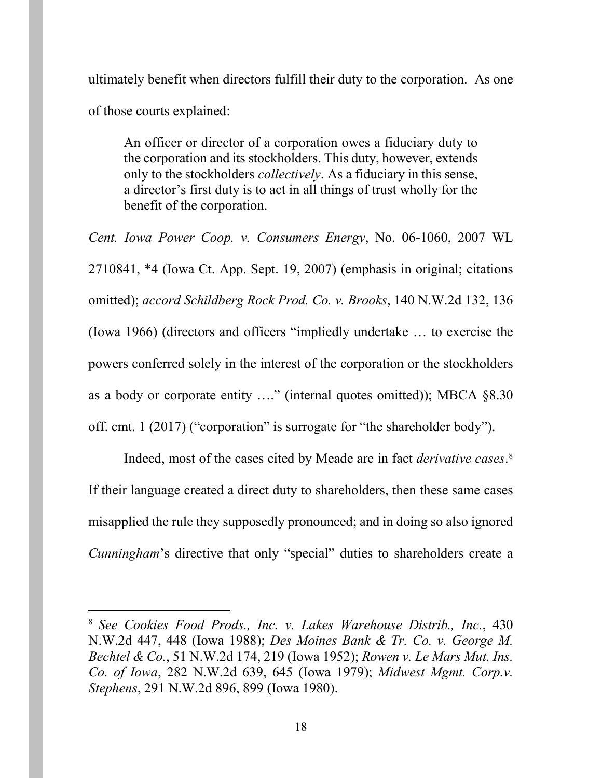ultimately benefit when directors fulfill their duty to the corporation. As one of those courts explained:

An officer or director of a corporation owes a fiduciary duty to the corporation and its stockholders. This duty, however, extends only to the stockholders *collectively*. As a fiduciary in this sense, a director's first duty is to act in all things of trust wholly for the benefit of the corporation.

<span id="page-17-5"></span><span id="page-17-0"></span>*Cent. Iowa Power Coop. v. Consumers Energy*, No. 06-1060, 2007 WL 2710841, \*4 (Iowa Ct. App. Sept. 19, 2007) (emphasis in original; citations omitted); *accord Schildberg Rock Prod. Co. v. Brooks*, 140 N.W.2d 132, 136 (Iowa 1966) (directors and officers "impliedly undertake … to exercise the powers conferred solely in the interest of the corporation or the stockholders as a body or corporate entity …." (internal quotes omitted)); MBCA §8.30 off. cmt. 1 (2017) ("corporation" is surrogate for "the shareholder body").

Indeed, most of the cases cited by Meade are in fact *derivative cases*. [8](#page-17-6) If their language created a direct duty to shareholders, then these same cases misapplied the rule they supposedly pronounced; and in doing so also ignored *Cunningham*'s directive that only "special" duties to shareholders create a

<span id="page-17-6"></span><span id="page-17-4"></span><span id="page-17-3"></span><span id="page-17-2"></span><span id="page-17-1"></span> <sup>8</sup> *See Cookies Food Prods., Inc. v. Lakes Warehouse Distrib., Inc.*, 430 N.W.2d 447, 448 (Iowa 1988); *Des Moines Bank & Tr. Co. v. George M. Bechtel & Co.*, 51 N.W.2d 174, 219 (Iowa 1952); *Rowen v. Le Mars Mut. Ins. Co. of Iowa*, 282 N.W.2d 639, 645 (Iowa 1979); *Midwest Mgmt. Corp.v. Stephens*, 291 N.W.2d 896, 899 (Iowa 1980).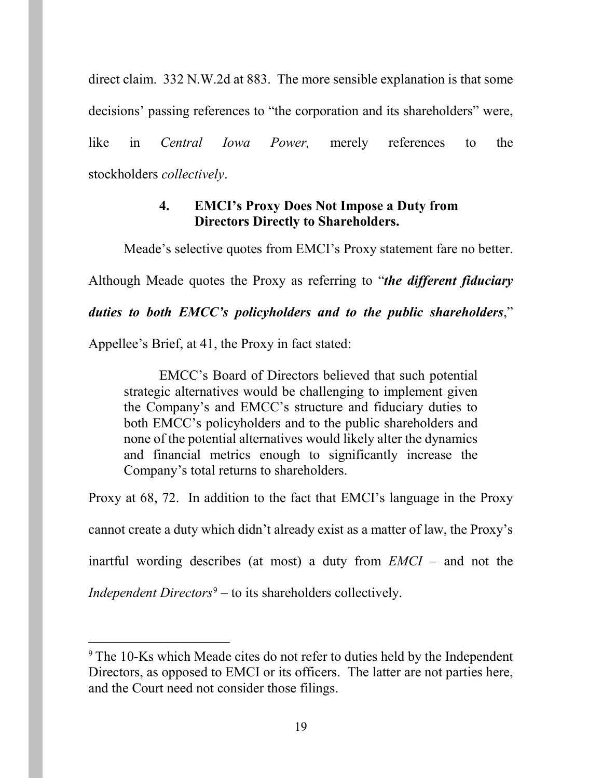direct claim. 332 N.W.2d at 883. The more sensible explanation is that some decisions' passing references to "the corporation and its shareholders" were, like in *Central Iowa Power,* merely references to the stockholders *collectively*.

## <span id="page-18-1"></span>**4. EMCI's Proxy Does Not Impose a Duty from Directors Directly to Shareholders.**

<span id="page-18-0"></span>Meade's selective quotes from EMCI's Proxy statement fare no better.

Although Meade quotes the Proxy as referring to "*the different fiduciary* 

# *duties to both EMCC's policyholders and to the public shareholders*,"

Appellee's Brief, at 41, the Proxy in fact stated:

EMCC's Board of Directors believed that such potential strategic alternatives would be challenging to implement given the Company's and EMCC's structure and fiduciary duties to both EMCC's policyholders and to the public shareholders and none of the potential alternatives would likely alter the dynamics and financial metrics enough to significantly increase the Company's total returns to shareholders.

Proxy at 68, 72. In addition to the fact that EMCI's language in the Proxy cannot create a duty which didn't already exist as a matter of law, the Proxy's inartful wording describes (at most) a duty from *EMCI* – and not the *Independent Directors*<sup>[9](#page-18-2)</sup> – to its shareholders collectively.

<span id="page-18-2"></span><sup>&</sup>lt;sup>9</sup> The 10-Ks which Meade cites do not refer to duties held by the Independent Directors, as opposed to EMCI or its officers. The latter are not parties here, and the Court need not consider those filings.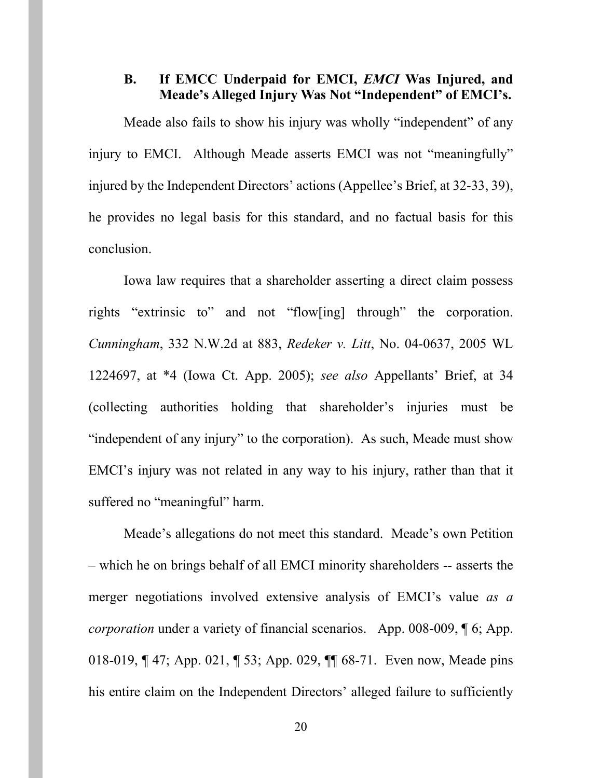## <span id="page-19-0"></span>**B. If EMCC Underpaid for EMCI,** *EMCI* **Was Injured, and Meade's Alleged Injury Was Not "Independent" of EMCI's.**

Meade also fails to show his injury was wholly "independent" of any injury to EMCI. Although Meade asserts EMCI was not "meaningfully" injured by the Independent Directors' actions (Appellee's Brief, at 32-33, 39), he provides no legal basis for this standard, and no factual basis for this conclusion.

<span id="page-19-1"></span>Iowa law requires that a shareholder asserting a direct claim possess rights "extrinsic to" and not "flow[ing] through" the corporation. *Cunningham*, 332 N.W.2d at 883, *Redeker v. Litt*, No. 04-0637, 2005 WL 1224697, at \*4 (Iowa Ct. App. 2005); *see also* Appellants' Brief, at 34 (collecting authorities holding that shareholder's injuries must be "independent of any injury" to the corporation). As such, Meade must show EMCI's injury was not related in any way to his injury, rather than that it suffered no "meaningful" harm.

Meade's allegations do not meet this standard. Meade's own Petition – which he on brings behalf of all EMCI minority shareholders -- asserts the merger negotiations involved extensive analysis of EMCI's value *as a corporation* under a variety of financial scenarios. App. 008-009, [6; App. 018-019, ¶ 47; App. 021, ¶ 53; App. 029, ¶¶ 68-71. Even now, Meade pins his entire claim on the Independent Directors' alleged failure to sufficiently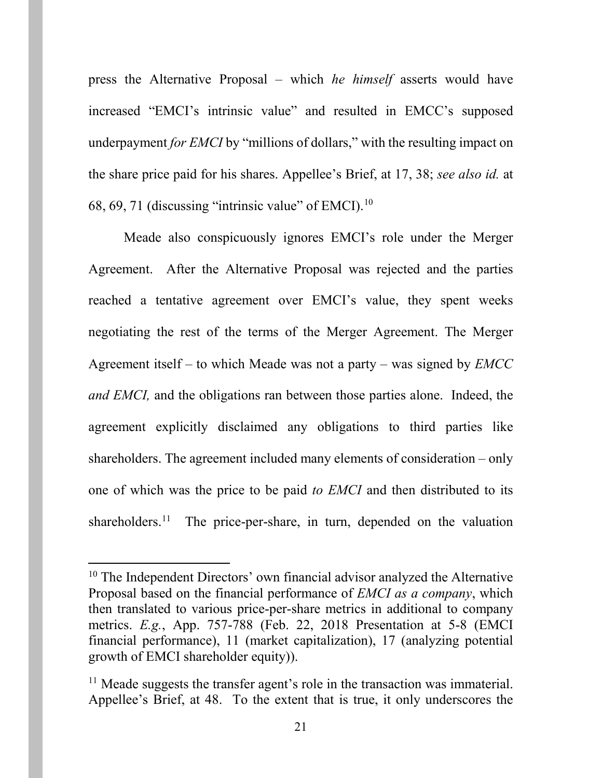press the Alternative Proposal – which *he himself* asserts would have increased "EMCI's intrinsic value" and resulted in EMCC's supposed underpayment *for EMCI* by "millions of dollars," with the resulting impact on the share price paid for his shares. Appellee's Brief, at 17, 38; *see also id.* at 68, 69, 71 (discussing "intrinsic value" of EMCI). $10$ 

Meade also conspicuously ignores EMCI's role under the Merger Agreement. After the Alternative Proposal was rejected and the parties reached a tentative agreement over EMCI's value, they spent weeks negotiating the rest of the terms of the Merger Agreement. The Merger Agreement itself *–* to which Meade was not a party – was signed by *EMCC and EMCI,* and the obligations ran between those parties alone. Indeed, the agreement explicitly disclaimed any obligations to third parties like shareholders. The agreement included many elements of consideration – only one of which was the price to be paid *to EMCI* and then distributed to its shareholders.<sup>[11](#page-20-1)</sup> The price-per-share, in turn, depended on the valuation

<span id="page-20-0"></span> $10$  The Independent Directors' own financial advisor analyzed the Alternative Proposal based on the financial performance of *EMCI as a company*, which then translated to various price-per-share metrics in additional to company metrics. *E.g.*, App. 757-788 (Feb. 22, 2018 Presentation at 5-8 (EMCI financial performance), 11 (market capitalization), 17 (analyzing potential growth of EMCI shareholder equity)).

<span id="page-20-1"></span><sup>&</sup>lt;sup>11</sup> Meade suggests the transfer agent's role in the transaction was immaterial. Appellee's Brief, at 48. To the extent that is true, it only underscores the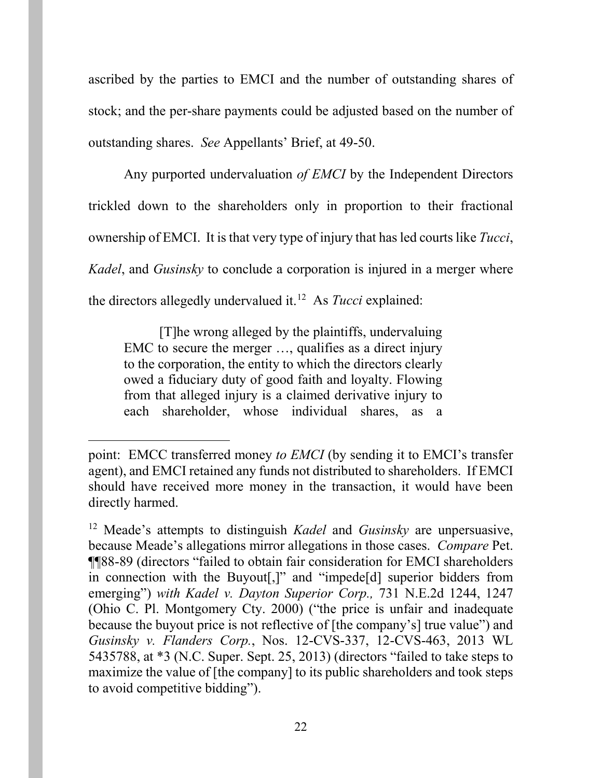ascribed by the parties to EMCI and the number of outstanding shares of stock; and the per-share payments could be adjusted based on the number of outstanding shares. *See* Appellants' Brief, at 49-50.

Any purported undervaluation *of EMCI* by the Independent Directors trickled down to the shareholders only in proportion to their fractional ownership of EMCI. It is that very type of injury that has led courts like *Tucci*, *Kadel*, and *Gusinsky* to conclude a corporation is injured in a merger where the directors allegedly undervalued it. [12](#page-21-1) As *Tucci* explained:

[T]he wrong alleged by the plaintiffs, undervaluing EMC to secure the merger …, qualifies as a direct injury to the corporation, the entity to which the directors clearly owed a fiduciary duty of good faith and loyalty. Flowing from that alleged injury is a claimed derivative injury to each shareholder, whose individual shares, as a

 $\overline{a}$ 

point: EMCC transferred money *to EMCI* (by sending it to EMCI's transfer agent), and EMCI retained any funds not distributed to shareholders. If EMCI should have received more money in the transaction, it would have been directly harmed.

<span id="page-21-1"></span><span id="page-21-0"></span><sup>12</sup> Meade's attempts to distinguish *Kadel* and *Gusinsky* are unpersuasive, because Meade's allegations mirror allegations in those cases. *Compare* Pet. ¶¶88-89 (directors "failed to obtain fair consideration for EMCI shareholders in connection with the Buyout[,]" and "impede[d] superior bidders from emerging") *with Kadel v. Dayton Superior Corp.,* 731 N.E.2d 1244, 1247 (Ohio C. Pl. Montgomery Cty. 2000) ("the price is unfair and inadequate because the buyout price is not reflective of [the company's] true value") and *Gusinsky v. Flanders Corp.*, Nos. 12-CVS-337, 12-CVS-463, 2013 WL 5435788, at \*3 (N.C. Super. Sept. 25, 2013) (directors "failed to take steps to maximize the value of [the company] to its public shareholders and took steps to avoid competitive bidding").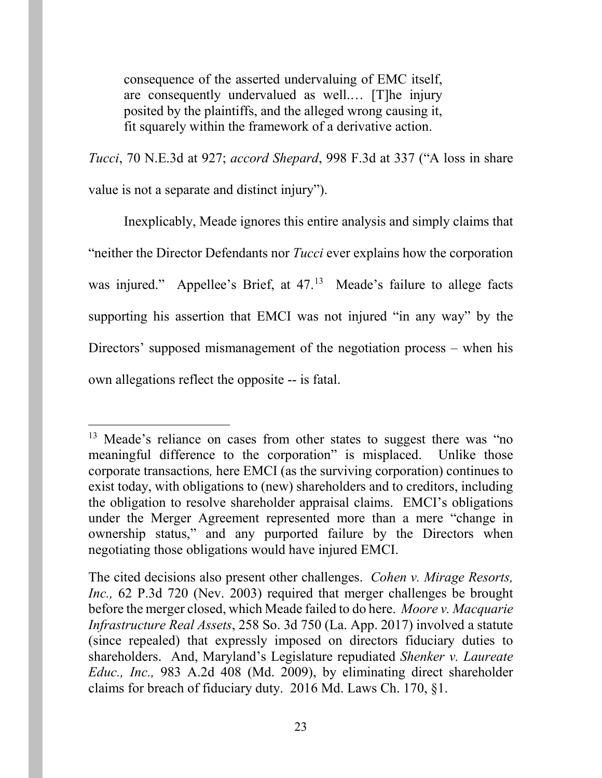consequence of the asserted undervaluing of EMC itself, are consequently undervalued as well.… [T]he injury posited by the plaintiffs, and the alleged wrong causing it, fit squarely within the framework of a derivative action.

*Tucci*, 70 N.E.3d at 927; *accord Shepard*, 998 F.3d at 337 ("A loss in share value is not a separate and distinct injury").

Inexplicably, Meade ignores this entire analysis and simply claims that "neither the Director Defendants nor *Tucci* ever explains how the corporation was injured." Appellee's Brief, at 47.<sup>[13](#page-22-3)</sup> Meade's failure to allege facts supporting his assertion that EMCI was not injured "in any way" by the Directors' supposed mismanagement of the negotiation process – when his own allegations reflect the opposite -- is fatal.

<span id="page-22-3"></span><sup>&</sup>lt;sup>13</sup> Meade's reliance on cases from other states to suggest there was "no meaningful difference to the corporation" is misplaced. Unlike those corporate transactions*,* here EMCI (as the surviving corporation) continues to exist today, with obligations to (new) shareholders and to creditors, including the obligation to resolve shareholder appraisal claims. EMCI's obligations under the Merger Agreement represented more than a mere "change in ownership status," and any purported failure by the Directors when negotiating those obligations would have injured EMCI.

<span id="page-22-2"></span><span id="page-22-1"></span><span id="page-22-0"></span>The cited decisions also present other challenges. *Cohen v. Mirage Resorts, Inc.,* 62 P.3d 720 (Nev. 2003) required that merger challenges be brought before the merger closed, which Meade failed to do here. *Moore v. Macquarie Infrastructure Real Assets*, 258 So. 3d 750 (La. App. 2017) involved a statute (since repealed) that expressly imposed on directors fiduciary duties to shareholders. And, Maryland's Legislature repudiated *Shenker v. Laureate Educ., Inc.,* 983 A.2d 408 (Md. 2009), by eliminating direct shareholder claims for breach of fiduciary duty. 2016 Md. Laws Ch. 170, §1.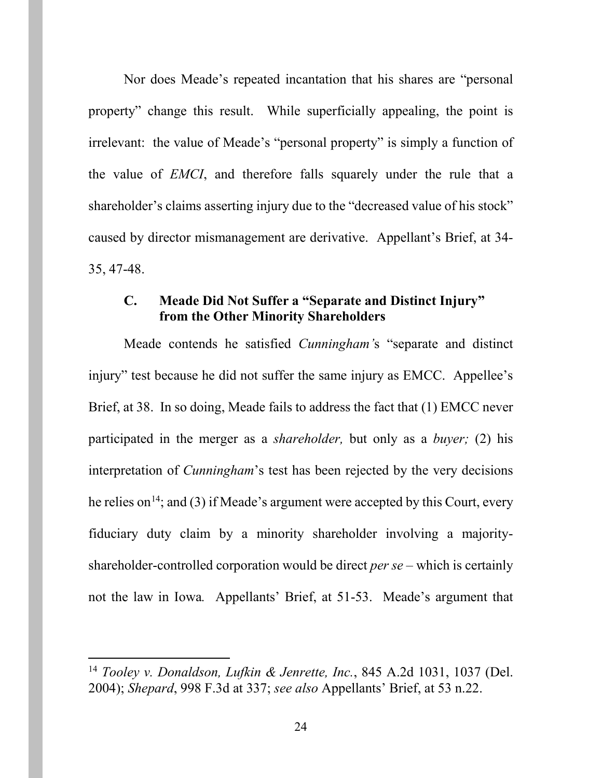Nor does Meade's repeated incantation that his shares are "personal property" change this result. While superficially appealing, the point is irrelevant: the value of Meade's "personal property" is simply a function of the value of *EMCI*, and therefore falls squarely under the rule that a shareholder's claims asserting injury due to the "decreased value of his stock" caused by director mismanagement are derivative. Appellant's Brief, at 34- 35, 47-48.

## <span id="page-23-0"></span>**C. Meade Did Not Suffer a "Separate and Distinct Injury" from the Other Minority Shareholders**

Meade contends he satisfied *Cunningham'*s "separate and distinct injury" test because he did not suffer the same injury as EMCC. Appellee's Brief, at 38. In so doing, Meade fails to address the fact that (1) EMCC never participated in the merger as a *shareholder,* but only as a *buyer;* (2) his interpretation of *Cunningham*'s test has been rejected by the very decisions he relies on<sup>[14](#page-23-2)</sup>; and (3) if Meade's argument were accepted by this Court, every fiduciary duty claim by a minority shareholder involving a majorityshareholder-controlled corporation would be direct *per se –* which is certainly not the law in Iowa*.* Appellants' Brief, at 51-53.Meade's argument that

<span id="page-23-2"></span><span id="page-23-1"></span> <sup>14</sup> *Tooley v. Donaldson, Lufkin & Jenrette, Inc.*, 845 A.2d 1031, 1037 (Del. 2004); *Shepard*, 998 F.3d at 337; *see also* Appellants' Brief, at 53 n.22.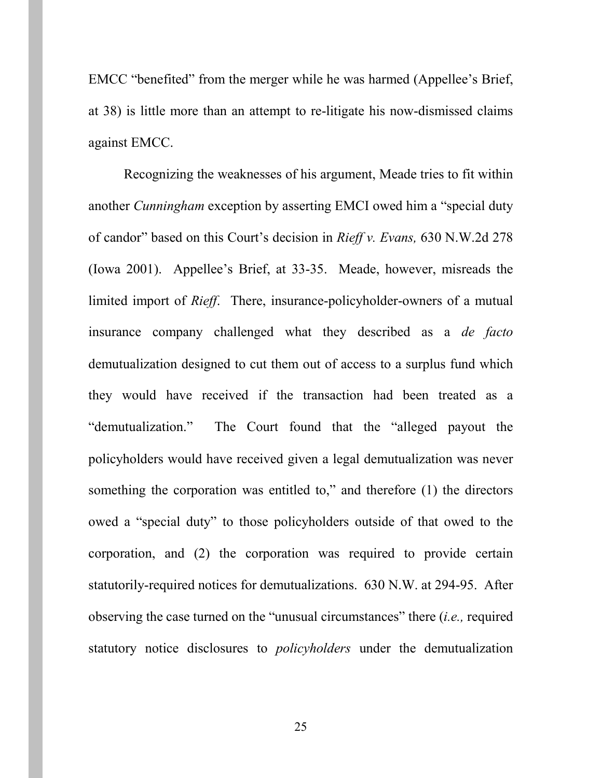EMCC "benefited" from the merger while he was harmed (Appellee's Brief, at 38) is little more than an attempt to re-litigate his now-dismissed claims against EMCC.

<span id="page-24-0"></span>Recognizing the weaknesses of his argument, Meade tries to fit within another *Cunningham* exception by asserting EMCI owed him a "special duty of candor" based on this Court's decision in *Rieff v. Evans,* 630 N.W.2d 278 (Iowa 2001). Appellee's Brief, at 33-35. Meade, however, misreads the limited import of *Rieff*. There, insurance-policyholder-owners of a mutual insurance company challenged what they described as a *de facto* demutualization designed to cut them out of access to a surplus fund which they would have received if the transaction had been treated as a "demutualization." The Court found that the "alleged payout the policyholders would have received given a legal demutualization was never something the corporation was entitled to," and therefore (1) the directors owed a "special duty" to those policyholders outside of that owed to the corporation, and (2) the corporation was required to provide certain statutorily-required notices for demutualizations. 630 N.W. at 294-95. After observing the case turned on the "unusual circumstances" there (*i.e.,* required statutory notice disclosures to *policyholders* under the demutualization

25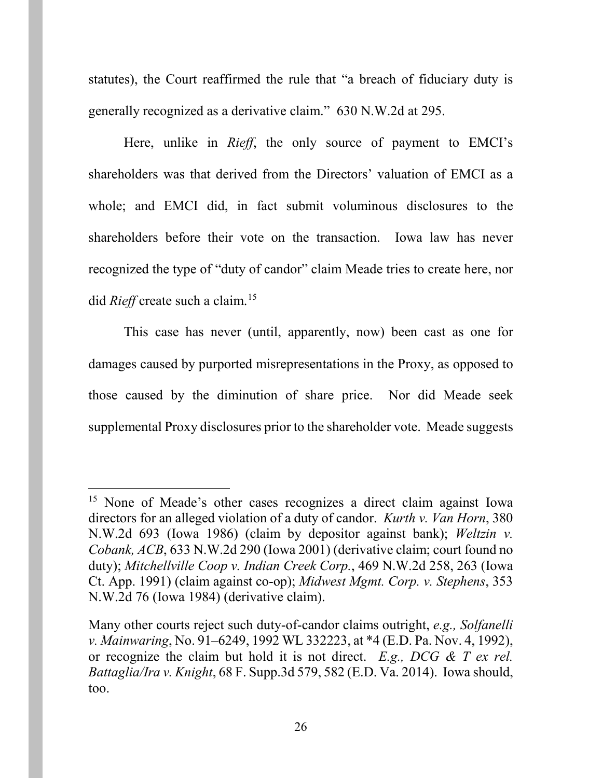<span id="page-25-3"></span>statutes), the Court reaffirmed the rule that "a breach of fiduciary duty is generally recognized as a derivative claim." 630 N.W.2d at 295.

Here, unlike in *Rieff*, the only source of payment to EMCI's shareholders was that derived from the Directors' valuation of EMCI as a whole; and EMCI did, in fact submit voluminous disclosures to the shareholders before their vote on the transaction. Iowa law has never recognized the type of "duty of candor" claim Meade tries to create here, nor did *Rieff* create such a claim. [15](#page-25-6)

This case has never (until, apparently, now) been cast as one for damages caused by purported misrepresentations in the Proxy, as opposed to those caused by the diminution of share price. Nor did Meade seek supplemental Proxy disclosures prior to the shareholder vote. Meade suggests

<span id="page-25-6"></span><span id="page-25-5"></span><span id="page-25-0"></span><sup>&</sup>lt;sup>15</sup> None of Meade's other cases recognizes a direct claim against Iowa directors for an alleged violation of a duty of candor. *Kurth v. Van Horn*, 380 N.W.2d 693 (Iowa 1986) (claim by depositor against bank); *Weltzin v. Cobank, ACB*, 633 N.W.2d 290 (Iowa 2001) (derivative claim; court found no duty); *Mitchellville Coop v. Indian Creek Corp.*, 469 N.W.2d 258, 263 (Iowa Ct. App. 1991) (claim against co-op); *Midwest Mgmt. Corp. v. Stephens*, 353 N.W.2d 76 (Iowa 1984) (derivative claim).

<span id="page-25-4"></span><span id="page-25-2"></span><span id="page-25-1"></span>Many other courts reject such duty-of-candor claims outright, *e.g., Solfanelli v. Mainwaring*, No. 91–6249, 1992 WL 332223, at \*4 (E.D. Pa. Nov. 4, 1992), or recognize the claim but hold it is not direct. *E.g., DCG & T ex rel. Battaglia/Ira v. Knight*, 68 F. Supp.3d 579, 582 (E.D. Va. 2014). Iowa should, too.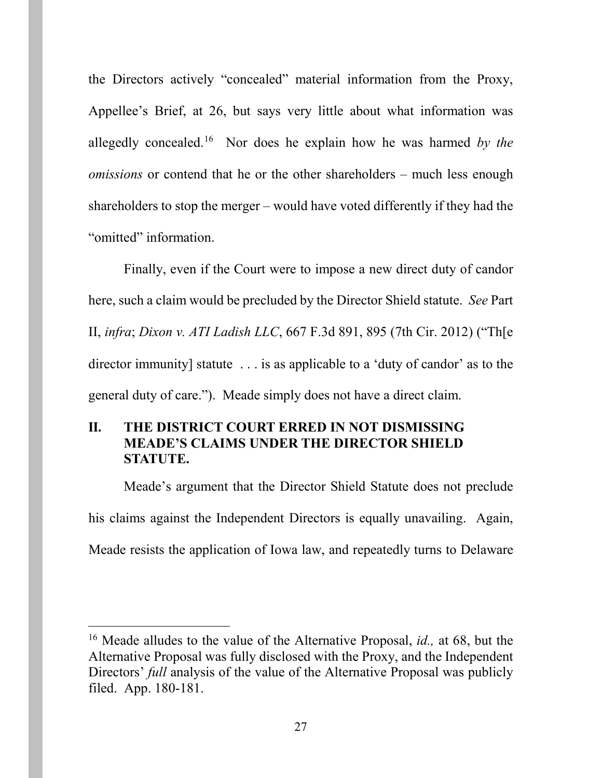the Directors actively "concealed" material information from the Proxy, Appellee's Brief, at 26, but says very little about what information was allegedly concealed. [16](#page-26-2) Nor does he explain how he was harmed *by the omissions* or contend that he or the other shareholders – much less enough shareholders to stop the merger – would have voted differently if they had the "omitted" information.

<span id="page-26-1"></span>Finally, even if the Court were to impose a new direct duty of candor here, such a claim would be precluded by the Director Shield statute. *See* Part II, *infra*; *Dixon v. ATI Ladish LLC*, 667 F.3d 891, 895 (7th Cir. 2012) ("Th[e director immunity] statute . . . is as applicable to a 'duty of candor' as to the general duty of care."). Meade simply does not have a direct claim.

## <span id="page-26-0"></span>**II. THE DISTRICT COURT ERRED IN NOT DISMISSING MEADE'S CLAIMS UNDER THE DIRECTOR SHIELD STATUTE.**

Meade's argument that the Director Shield Statute does not preclude his claims against the Independent Directors is equally unavailing. Again, Meade resists the application of Iowa law, and repeatedly turns to Delaware

<span id="page-26-2"></span> <sup>16</sup> Meade alludes to the value of the Alternative Proposal, *id.,* at 68, but the Alternative Proposal was fully disclosed with the Proxy, and the Independent Directors' *full* analysis of the value of the Alternative Proposal was publicly filed. App. 180-181.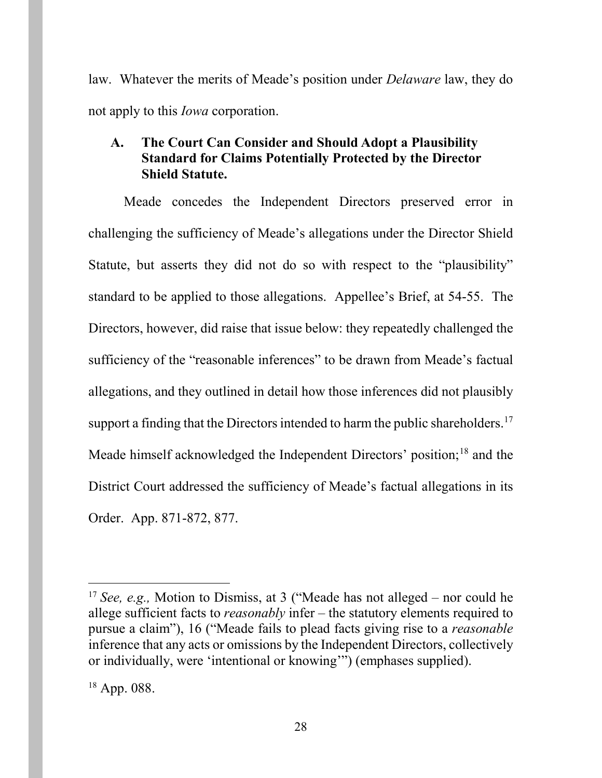law. Whatever the merits of Meade's position under *Delaware* law, they do not apply to this *Iowa* corporation.

# <span id="page-27-0"></span>**A. The Court Can Consider and Should Adopt a Plausibility Standard for Claims Potentially Protected by the Director Shield Statute.**

Meade concedes the Independent Directors preserved error in challenging the sufficiency of Meade's allegations under the Director Shield Statute, but asserts they did not do so with respect to the "plausibility" standard to be applied to those allegations. Appellee's Brief, at 54-55. The Directors, however, did raise that issue below: they repeatedly challenged the sufficiency of the "reasonable inferences" to be drawn from Meade's factual allegations, and they outlined in detail how those inferences did not plausibly support a finding that the Directors intended to harm the public shareholders.<sup>[17](#page-27-1)</sup> Meade himself acknowledged the Independent Directors' position;<sup>[18](#page-27-2)</sup> and the District Court addressed the sufficiency of Meade's factual allegations in its Order. App. 871-872, 877.

<span id="page-27-1"></span> <sup>17</sup> *See, e.g.,* Motion to Dismiss, at 3 ("Meade has not alleged – nor could he allege sufficient facts to *reasonably* infer – the statutory elements required to pursue a claim"), 16 ("Meade fails to plead facts giving rise to a *reasonable* inference that any acts or omissions by the Independent Directors, collectively or individually, were 'intentional or knowing'") (emphases supplied).

<span id="page-27-2"></span><sup>18</sup> App. 088.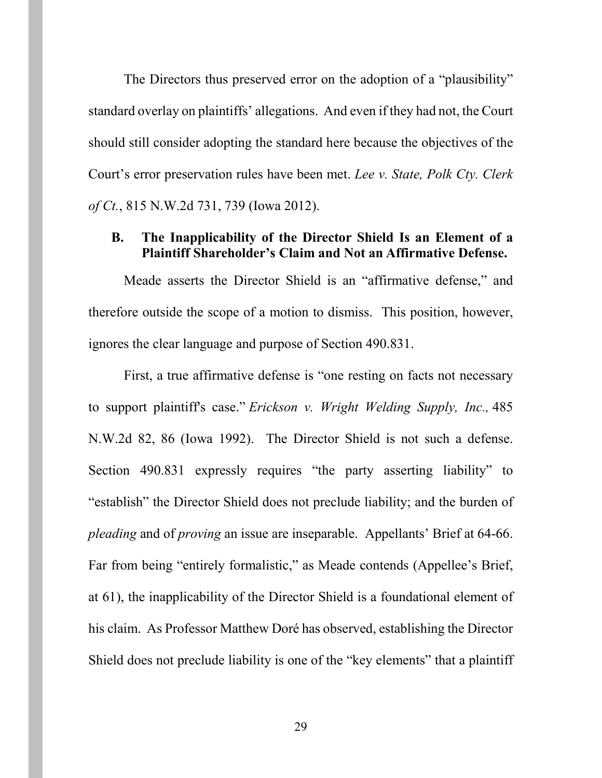The Directors thus preserved error on the adoption of a "plausibility" standard overlay on plaintiffs' allegations. And even if they had not, the Court should still consider adopting the standard here because the objectives of the Court's error preservation rules have been met. *Lee v. State, Polk Cty. Clerk of Ct.*, 815 N.W.2d 731, 739 (Iowa 2012).

## <span id="page-28-0"></span>**B. The Inapplicability of the Director Shield Is an Element of a Plaintiff Shareholder's Claim and Not an Affirmative Defense.**

Meade asserts the Director Shield is an "affirmative defense," and therefore outside the scope of a motion to dismiss. This position, however, ignores the clear language and purpose of Section 490.831.

First, a true affirmative defense is "one resting on facts not necessary to support plaintiff's case." *Erickson v. Wright Welding Supply, Inc.,* 485 N.W.2d 82, 86 (Iowa 1992). The Director Shield is not such a defense. Section 490.831 expressly requires "the party asserting liability" to "establish" the Director Shield does not preclude liability; and the burden of *pleading* and of *proving* an issue are inseparable. Appellants' Brief at 64-66. Far from being "entirely formalistic," as Meade contends (Appellee's Brief, at 61), the inapplicability of the Director Shield is a foundational element of his claim. As Professor Matthew Doré has observed, establishing the Director Shield does not preclude liability is one of the "key elements" that a plaintiff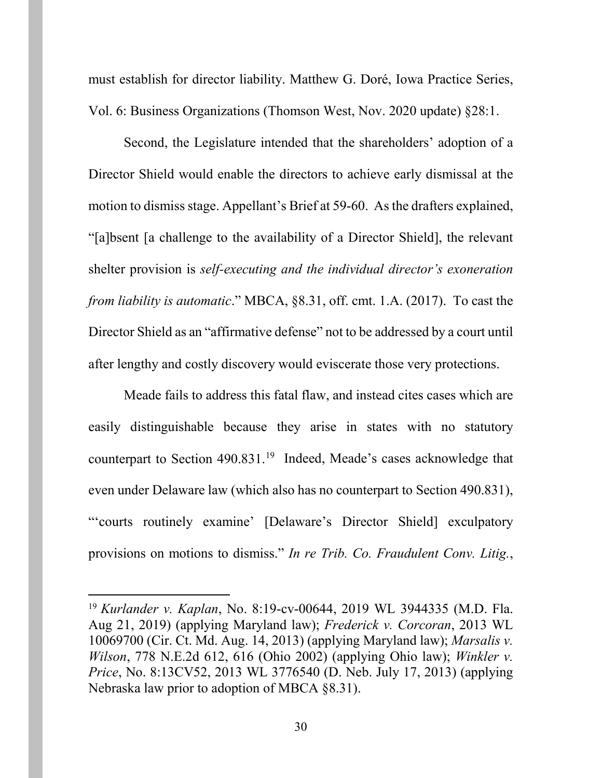must establish for director liability. Matthew G. Doré, Iowa Practice Series, Vol. 6: Business Organizations (Thomson West, Nov. 2020 update) §28:1.

Second, the Legislature intended that the shareholders' adoption of a Director Shield would enable the directors to achieve early dismissal at the motion to dismiss stage. Appellant's Brief at 59-60. As the drafters explained, "[a]bsent [a challenge to the availability of a Director Shield], the relevant shelter provision is *self-executing and the individual director's exoneration from liability is automatic*." MBCA, §8.31, off. cmt. 1.A. (2017). To cast the Director Shield as an "affirmative defense" not to be addressed by a court until after lengthy and costly discovery would eviscerate those very protections.

Meade fails to address this fatal flaw, and instead cites cases which are easily distinguishable because they arise in states with no statutory counterpart to Section 490.831.<sup>19</sup> Indeed, Meade's cases acknowledge that even under Delaware law (which also has no counterpart to Section 490.831), "'courts routinely examine' [Delaware's Director Shield] exculpatory provisions on motions to dismiss." *In re Trib. Co. Fraudulent Conv. Litig.*,

<span id="page-29-0"></span> <sup>19</sup> *Kurlander v. Kaplan*, No. 8:19-cv-00644, 2019 WL 3944335 (M.D. Fla. Aug 21, 2019) (applying Maryland law); *Frederick v. Corcoran*, 2013 WL 10069700 (Cir. Ct. Md. Aug. 14, 2013) (applying Maryland law); *Marsalis v. Wilson*, 778 N.E.2d 612, 616 (Ohio 2002) (applying Ohio law); *Winkler v. Price*, No. 8:13CV52, 2013 WL 3776540 (D. Neb. July 17, 2013) (applying Nebraska law prior to adoption of MBCA §8.31).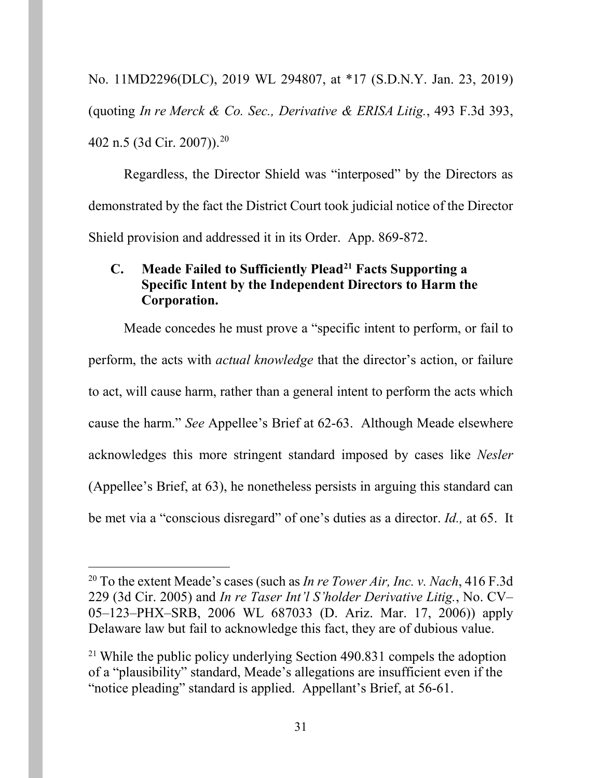No. 11MD2296(DLC), 2019 WL 294807, at \*17 (S.D.N.Y. Jan. 23, 2019) (quoting *In re Merck & Co. Sec., Derivative & ERISA Litig.*, 493 F.3d 393, 402 n.5 (3d Cir. 2007)). [20](#page-30-1)

Regardless, the Director Shield was "interposed" by the Directors as demonstrated by the fact the District Court took judicial notice of the Director Shield provision and addressed it in its Order. App. 869-872.

## <span id="page-30-0"></span>**C. Meade Failed to Sufficiently Plead[21](#page-30-2) Facts Supporting a Specific Intent by the Independent Directors to Harm the Corporation.**

Meade concedes he must prove a "specific intent to perform, or fail to perform, the acts with *actual knowledge* that the director's action, or failure to act, will cause harm, rather than a general intent to perform the acts which cause the harm." *See* Appellee's Brief at 62-63. Although Meade elsewhere acknowledges this more stringent standard imposed by cases like *Nesler*  (Appellee's Brief, at 63), he nonetheless persists in arguing this standard can be met via a "conscious disregard" of one's duties as a director. *Id.,* at 65. It

<span id="page-30-1"></span> <sup>20</sup> To the extent Meade's cases (such as *In re Tower Air, Inc. v. Nach*, 416 F.3d 229 (3d Cir. 2005) and *In re Taser Int'l S'holder Derivative Litig.*, No. CV– 05–123–PHX–SRB, 2006 WL 687033 (D. Ariz. Mar. 17, 2006)) apply Delaware law but fail to acknowledge this fact, they are of dubious value.

<span id="page-30-2"></span><sup>&</sup>lt;sup>21</sup> While the public policy underlying Section  $490.831$  compels the adoption of a "plausibility" standard, Meade's allegations are insufficient even if the "notice pleading" standard is applied. Appellant's Brief, at 56-61.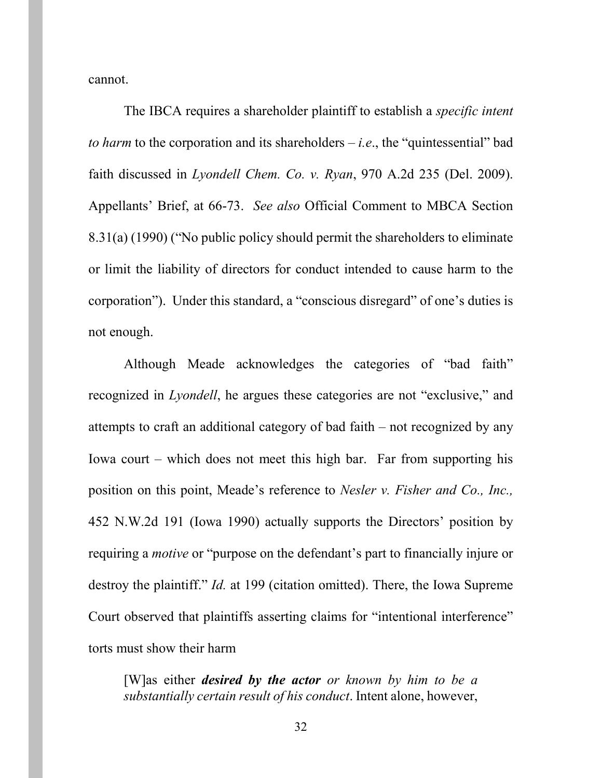cannot.

The IBCA requires a shareholder plaintiff to establish a *specific intent to harm* to the corporation and its shareholders  $-i.e.,$  the "quintessential" bad faith discussed in *Lyondell Chem. Co. v. Ryan*, 970 A.2d 235 (Del. 2009). Appellants' Brief, at 66-73. *See also* Official Comment to MBCA Section 8.31(a) (1990) ("No public policy should permit the shareholders to eliminate or limit the liability of directors for conduct intended to cause harm to the corporation"). Under this standard, a "conscious disregard" of one's duties is not enough.

Although Meade acknowledges the categories of "bad faith" recognized in *Lyondell*, he argues these categories are not "exclusive," and attempts to craft an additional category of bad faith – not recognized by any Iowa court – which does not meet this high bar. Far from supporting his position on this point, Meade's reference to *Nesler v. Fisher and Co., Inc.,*  452 N.W.2d 191 (Iowa 1990) actually supports the Directors' position by requiring a *motive* or "purpose on the defendant's part to financially injure or destroy the plaintiff." *Id.* at 199 (citation omitted). There, the Iowa Supreme Court observed that plaintiffs asserting claims for "intentional interference" torts must show their harm

[W]as either *desired by the actor or known by him to be a substantially certain result of his conduct*. Intent alone, however,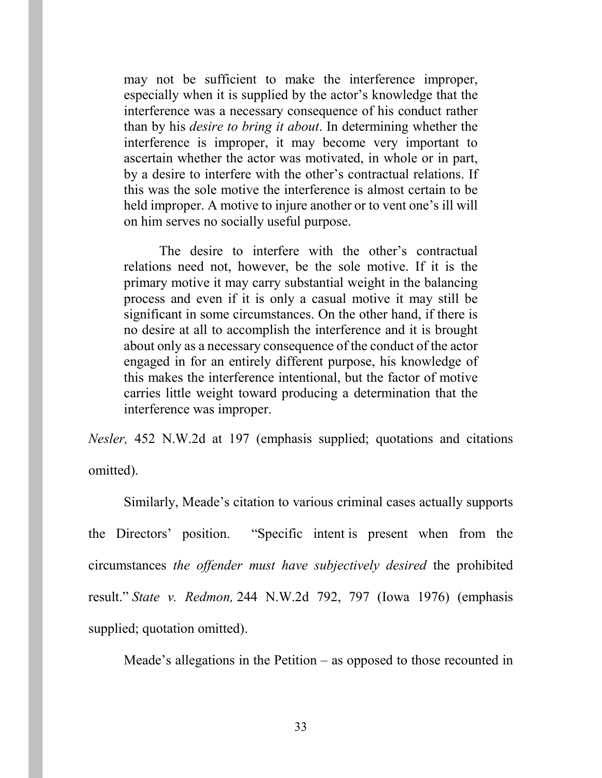may not be sufficient to make the interference improper, especially when it is supplied by the actor's knowledge that the interference was a necessary consequence of his conduct rather than by his *desire to bring it about*. In determining whether the interference is improper, it may become very important to ascertain whether the actor was motivated, in whole or in part, by a desire to interfere with the other's contractual relations. If this was the sole motive the interference is almost certain to be held improper. A motive to injure another or to vent one's ill will on him serves no socially useful purpose.

The desire to interfere with the other's contractual relations need not, however, be the sole motive. If it is the primary motive it may carry substantial weight in the balancing process and even if it is only a casual motive it may still be significant in some circumstances. On the other hand, if there is no desire at all to accomplish the interference and it is brought about only as a necessary consequence of the conduct of the actor engaged in for an entirely different purpose, his knowledge of this makes the interference intentional, but the factor of motive carries little weight toward producing a determination that the interference was improper.

*Nesler,* 452 N.W.2d at 197 (emphasis supplied; quotations and citations omitted).

Similarly, Meade's citation to various criminal cases actually supports the Directors' position. "Specific intent is present when from the circumstances *the offender must have subjectively desired* the prohibited result." *State v. Redmon,* 244 N.W.2d 792, 797 (Iowa 1976) (emphasis supplied; quotation omitted).

Meade's allegations in the Petition – as opposed to those recounted in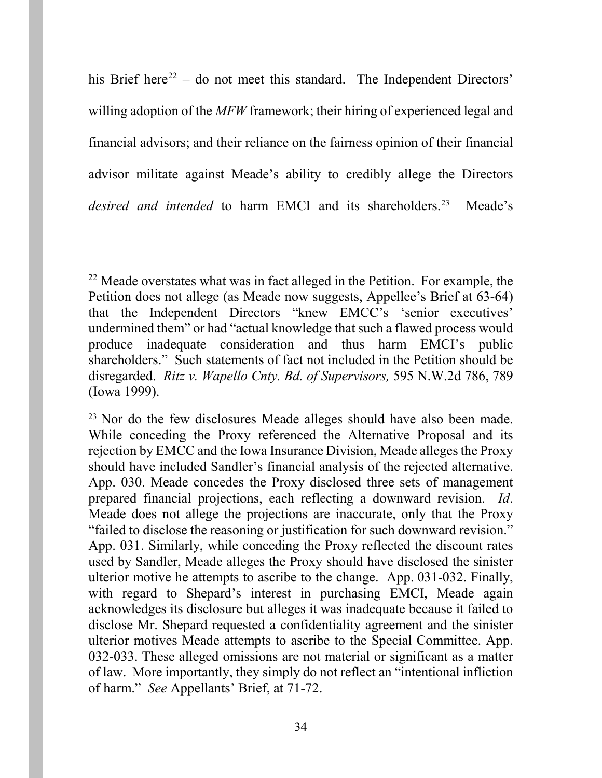his Brief here<sup>[22](#page-33-0)</sup> – do not meet this standard. The Independent Directors' willing adoption of the *MFW* framework; their hiring of experienced legal and financial advisors; and their reliance on the fairness opinion of their financial advisor militate against Meade's ability to credibly allege the Directors desired and intended to harm EMCI and its shareholders.<sup>23</sup> Meade's

<span id="page-33-0"></span> $22$  Meade overstates what was in fact alleged in the Petition. For example, the Petition does not allege (as Meade now suggests, Appellee's Brief at 63-64) that the Independent Directors "knew EMCC's 'senior executives' undermined them" or had "actual knowledge that such a flawed process would produce inadequate consideration and thus harm EMCI's public shareholders." Such statements of fact not included in the Petition should be disregarded. *Ritz v. Wapello Cnty. Bd. of Supervisors,* 595 N.W.2d 786, 789 (Iowa 1999).

<span id="page-33-1"></span><sup>&</sup>lt;sup>23</sup> Nor do the few disclosures Meade alleges should have also been made. While conceding the Proxy referenced the Alternative Proposal and its rejection by EMCC and the Iowa Insurance Division, Meade alleges the Proxy should have included Sandler's financial analysis of the rejected alternative. App. 030. Meade concedes the Proxy disclosed three sets of management prepared financial projections, each reflecting a downward revision. *Id*. Meade does not allege the projections are inaccurate, only that the Proxy "failed to disclose the reasoning or justification for such downward revision." App. 031. Similarly, while conceding the Proxy reflected the discount rates used by Sandler, Meade alleges the Proxy should have disclosed the sinister ulterior motive he attempts to ascribe to the change. App. 031-032. Finally, with regard to Shepard's interest in purchasing EMCI, Meade again acknowledges its disclosure but alleges it was inadequate because it failed to disclose Mr. Shepard requested a confidentiality agreement and the sinister ulterior motives Meade attempts to ascribe to the Special Committee. App. 032-033. These alleged omissions are not material or significant as a matter of law. More importantly, they simply do not reflect an "intentional infliction of harm." *See* Appellants' Brief, at 71-72.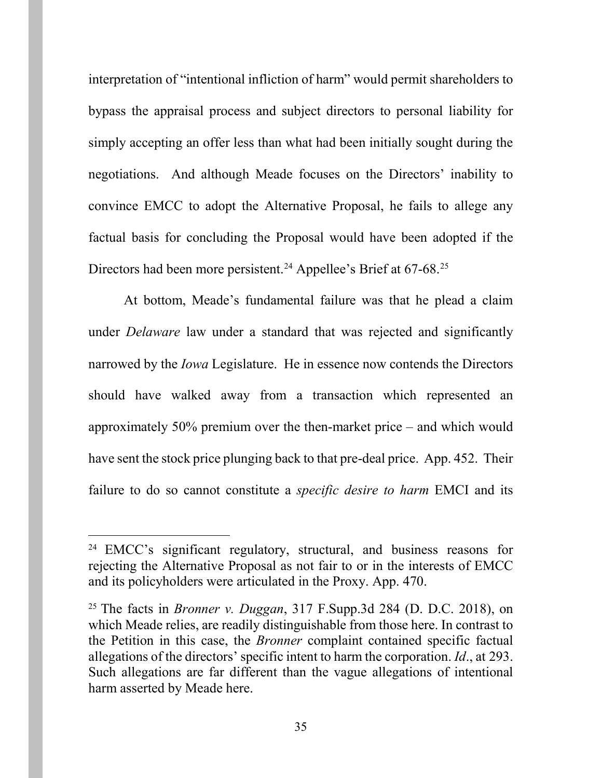interpretation of "intentional infliction of harm" would permit shareholders to bypass the appraisal process and subject directors to personal liability for simply accepting an offer less than what had been initially sought during the negotiations. And although Meade focuses on the Directors' inability to convince EMCC to adopt the Alternative Proposal, he fails to allege any factual basis for concluding the Proposal would have been adopted if the Directors had been more persistent.<sup>[24](#page-34-0)</sup> Appellee's Brief at 67-68.<sup>[25](#page-34-1)</sup>

At bottom, Meade's fundamental failure was that he plead a claim under *Delaware* law under a standard that was rejected and significantly narrowed by the *Iowa* Legislature. He in essence now contends the Directors should have walked away from a transaction which represented an approximately 50% premium over the then-market price – and which would have sent the stock price plunging back to that pre-deal price. App. 452. Their failure to do so cannot constitute a *specific desire to harm* EMCI and its

<span id="page-34-0"></span><sup>&</sup>lt;sup>24</sup> EMCC's significant regulatory, structural, and business reasons for rejecting the Alternative Proposal as not fair to or in the interests of EMCC and its policyholders were articulated in the Proxy. App. 470.

<span id="page-34-1"></span><sup>25</sup> The facts in *Bronner v. Duggan*, 317 F.Supp.3d 284 (D. D.C. 2018), on which Meade relies, are readily distinguishable from those here. In contrast to the Petition in this case, the *Bronner* complaint contained specific factual allegations of the directors' specific intent to harm the corporation. *Id*., at 293. Such allegations are far different than the vague allegations of intentional harm asserted by Meade here.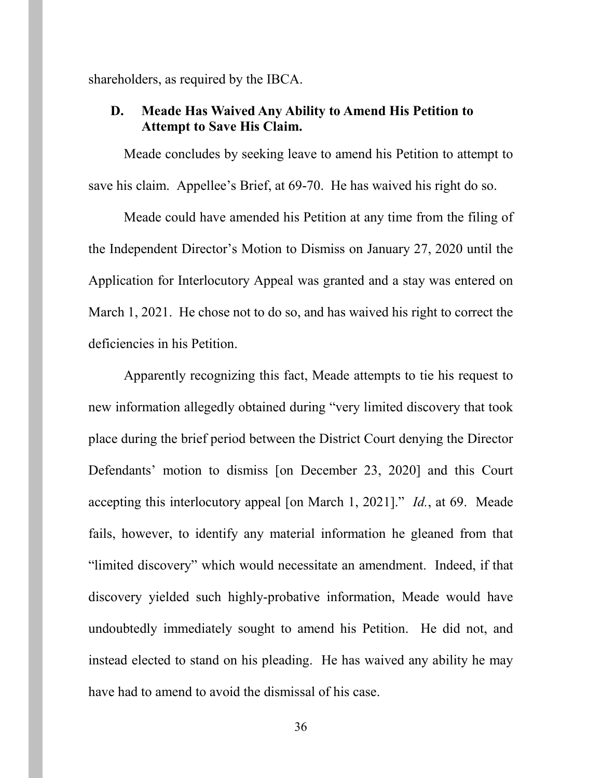shareholders, as required by the IBCA.

## <span id="page-35-0"></span>**D. Meade Has Waived Any Ability to Amend His Petition to Attempt to Save His Claim.**

Meade concludes by seeking leave to amend his Petition to attempt to save his claim. Appellee's Brief, at 69-70. He has waived his right do so.

Meade could have amended his Petition at any time from the filing of the Independent Director's Motion to Dismiss on January 27, 2020 until the Application for Interlocutory Appeal was granted and a stay was entered on March 1, 2021. He chose not to do so, and has waived his right to correct the deficiencies in his Petition.

Apparently recognizing this fact, Meade attempts to tie his request to new information allegedly obtained during "very limited discovery that took place during the brief period between the District Court denying the Director Defendants' motion to dismiss [on December 23, 2020] and this Court accepting this interlocutory appeal [on March 1, 2021]." *Id.*, at 69. Meade fails, however, to identify any material information he gleaned from that "limited discovery" which would necessitate an amendment. Indeed, if that discovery yielded such highly-probative information, Meade would have undoubtedly immediately sought to amend his Petition. He did not, and instead elected to stand on his pleading. He has waived any ability he may have had to amend to avoid the dismissal of his case.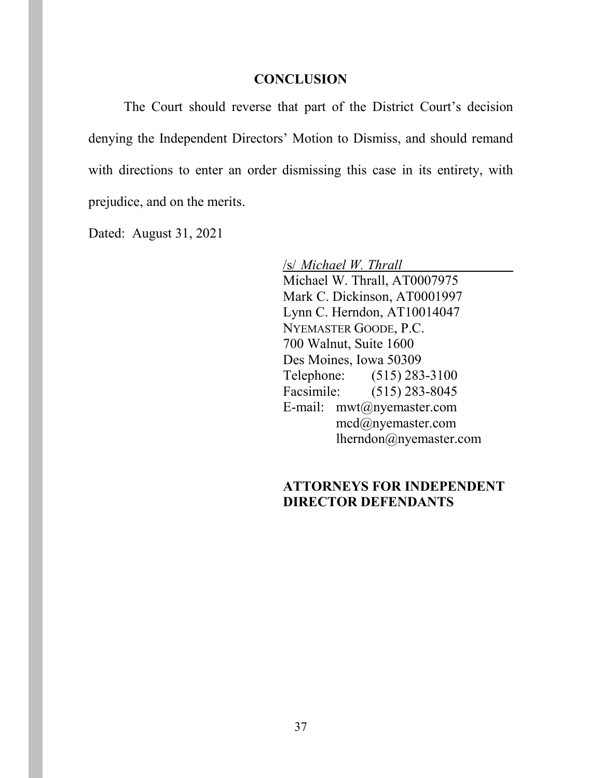#### **CONCLUSION**

<span id="page-36-0"></span>The Court should reverse that part of the District Court's decision denying the Independent Directors' Motion to Dismiss, and should remand with directions to enter an order dismissing this case in its entirety, with prejudice, and on the merits.

Dated: August 31, 2021

/s/ *Michael W. Thrall* Michael W. Thrall, AT0007975 Mark C. Dickinson, AT0001997 Lynn C. Herndon, AT10014047 NYEMASTER GOODE, P.C. 700 Walnut, Suite 1600 Des Moines, Iowa 50309 Telephone: (515) 283-3100 Facsimile: (515) 283-8045 E-mail: mwt@nyemaster.com mcd@nyemaster.com lherndon@nyemaster.com

## **ATTORNEYS FOR INDEPENDENT DIRECTOR DEFENDANTS**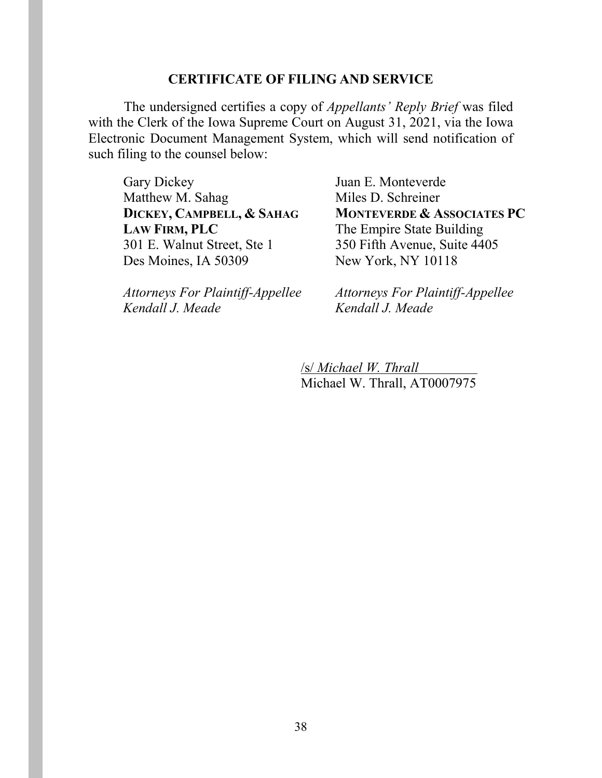#### **CERTIFICATE OF FILING AND SERVICE**

The undersigned certifies a copy of *Appellants' Reply Brief* was filed with the Clerk of the Iowa Supreme Court on August 31, 2021, via the Iowa Electronic Document Management System, which will send notification of such filing to the counsel below:

Gary Dickey Matthew M. Sahag **DICKEY, CAMPBELL, & SAHAG LAW FIRM, PLC** 301 E. Walnut Street, Ste 1 Des Moines, IA 50309

Juan E. Monteverde Miles D. Schreiner **MONTEVERDE & ASSOCIATES PC** The Empire State Building 350 Fifth Avenue, Suite 4405 New York, NY 10118

*Attorneys For Plaintiff-Appellee Kendall J. Meade*

*Attorneys For Plaintiff-Appellee Kendall J. Meade*

/s/ *Michael W. Thrall* Michael W. Thrall, AT0007975